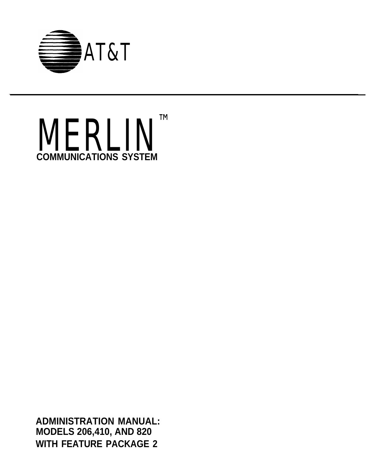



**ADMINISTRATION MANUAL: MODELS 206,410, AND 820 WITH FEATURE PACKAGE 2**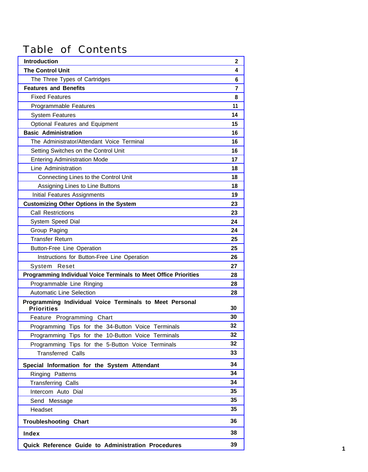### Table of Contents

| <b>Introduction</b>                                                     | $\mathbf{2}$ |
|-------------------------------------------------------------------------|--------------|
| <b>The Control Unit</b>                                                 | 4            |
| The Three Types of Cartridges                                           | 6            |
| <b>Features and Benefits</b>                                            | 7            |
| <b>Fixed Features</b>                                                   | 8            |
| Programmable Features                                                   | 11           |
| <b>System Features</b>                                                  | 14           |
| Optional Features and Equipment                                         | 15           |
| <b>Basic Administration</b>                                             | 16           |
| The Administrator/Attendant Voice Terminal                              | 16           |
| Setting Switches on the Control Unit                                    | 16           |
| Entering Administration Mode                                            | 17           |
| Line Administration                                                     | 18           |
| Connecting Lines to the Control Unit                                    | 18           |
| Assigning Lines to Line Buttons                                         | 18           |
| Initial Features Assignments                                            | 19           |
| <b>Customizing Other Options in the System</b>                          | 23           |
| <b>Call Restrictions</b>                                                | 23           |
| System Speed Dial                                                       | 24           |
| Group Paging                                                            | 24           |
| <b>Transfer Return</b>                                                  | 25           |
| <b>Button-Free Line Operation</b>                                       | 25           |
| Instructions for Button-Free Line Operation                             | 26           |
| System Reset                                                            | 27           |
| <b>Programming Individual Voice Terminals to Meet Office Priorities</b> | 28           |
| Programmable Line Ringing                                               | 28           |
| <b>Automatic Line Selection</b>                                         | 28           |
| Programming Individual Voice Terminals to Meet Personal                 |              |
| <b>Priorities</b>                                                       | 30           |
| Feature Programming Chart                                               | 30           |
| Programming Tips for the 34-Button Voice Terminals                      | 32           |
| Programming Tips for the 10-Button Voice Terminals                      | 32           |
| Programming Tips for the 5-Button Voice Terminals                       | 32           |
| <b>Transferred Calls</b>                                                | 33           |
| Special Information for the System Attendant                            | 34           |
| Ringing Patterns                                                        | 34           |
| <b>Transferring Calls</b>                                               | 34           |
| Intercom Auto Dial                                                      | 35           |
| Send Message                                                            | 35           |
| Headset                                                                 | 35           |
| <b>Troubleshooting Chart</b>                                            | 36           |
| <b>Index</b>                                                            | 38           |
|                                                                         | 39           |
| Quick Reference Guide to Administration Procedures                      |              |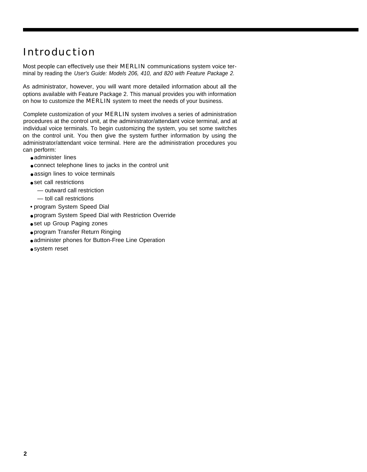### <span id="page-2-0"></span>Introduction

Most people can effectively use their MERLIN communications system voice terminal by reading the User's Guide: Models 206, 410, and 820 with Feature Package 2.

As administrator, however, you will want more detailed information about all the options available with Feature Package 2. This manual provides you with information on how to customize the **MERLIN** system to meet the needs of your business.

Complete customization of your MERLIN system involves a series of administration procedures at the control unit, at the administrator/attendant voice terminal, and at individual voice terminals. To begin customizing the system, you set some switches on the control unit. You then give the system further information by using the administrator/attendant voice terminal. Here are the administration procedures you can perform:

- administer lines
- connect telephone lines to jacks in the control unit
- assign lines to voice terminals
- set call restrictions
	- outward call restriction
	- toll call restrictions
- program System Speed Dial
- program System Speed Dial with Restriction Override
- set up Group Paging zones
- program Transfer Return Ringing
- administer phones for Button-Free Line Operation
- system reset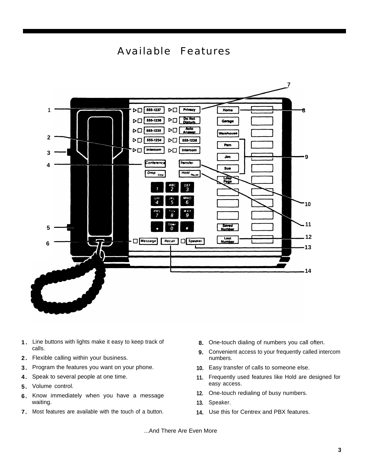



- **1.** Line buttons with lights make it easy to keep track of **8.** calls. **9.**
- **2.** Flexible calling within your business.
- **3.** Program the features you want on your phone. **10.**
- **4.** Speak to several people at one time. **11.**
- **5.** Volume control.
- **6.** Know immediately when you have a message waiting. **13.**
- **7.** Most features are available with the touch of a button. **14.**
- 8. One-touch dialing of numbers you call often.
- Convenient access to your frequently called intercom numbers.
- 10. Easy transfer of calls to someone else.
- Frequently used features like Hold are designed for easy access.
- 12. One-touch redialing of busy numbers.
- 13. Speaker.
- 14. Use this for Centrex and PBX features.

...And There Are Even More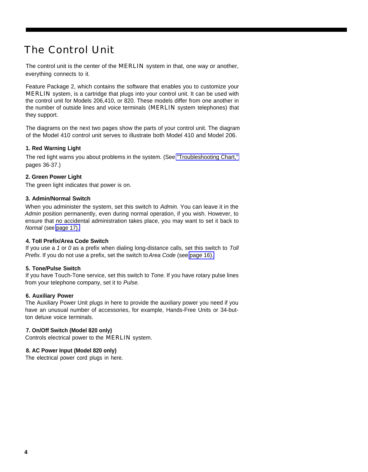### <span id="page-4-1"></span><span id="page-4-0"></span>The Control Unit

The control unit is the center of the **MERLIN** system in that, one way or another, everything connects to it.

Feature Package 2, which contains the software that enables you to customize your MERLIN system, is a cartridge that plugs into your control unit. It can be used with the control unit for Models 206,410, or 820. These models differ from one another in the number of outside lines and voice terminals (MERLIN system telephones) that they support.

The diagrams on the next two pages show the parts of your control unit. The diagram of the Model 410 control unit serves to illustrate both Model 410 and Model 206.

#### **1. Red Warning Light**

The red Iight warns you about problems in the system. (See ["Troubleshooting Chart,"](#page-36-1) pages 36-37.)

#### **2. Green Power Light**

The green light indicates that power is on.

#### **3. Admin/Normal Switch**

When you administer the system, set this switch to Admin. You can leave it in the Admin position permanently, even during normal operation, if you wish. However, to ensure that no accidental administration takes place, you may want to set it back to Normal (see [page 17\).](#page-17-1)

#### **4. ToII Prefix/Area Code Switch**

If you use a 1 or 0 as a prefix when dialing long-distance calls, set this switch to Toll Prefix. If you do not use a prefix, set the switch to Area Code (see [page 16\).](#page-16-3)

#### **5. Tone/Pulse Switch**

If you have Touch-Tone service, set this switch to Tone. If you have rotary pulse lines from your telephone company, set it to Pulse.

#### **6. Auxiliary Power**

The Auxiliary Power Unit plugs in here to provide the auxiliary power you need if you have an unusual number of accessories, for example, Hands-Free Units or 34-button deluxe voice terminals.

#### **7. On/Off Switch (Model 820 only)**

Controls electrical power to the MERLIN system.

#### **8. AC Power Input (Model 820 only)**

The electrical power cord plugs in here.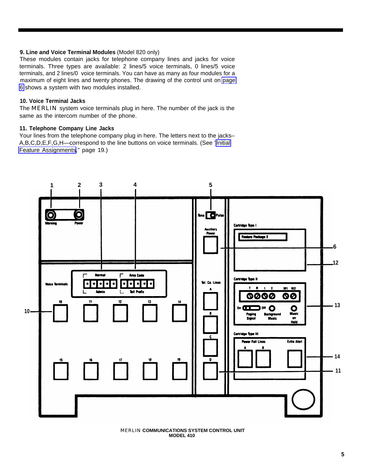#### <span id="page-5-0"></span>**9. Line and Voice Terminal Modules** (Model 820 only)

These modules contain jacks for telephone company lines and jacks for voice terminals. Three types are available: 2 lines/5 voice terminals, 0 lines/5 voice terminals, and 2 lines/0 voice terminals. You can have as many as four modules for a maximum of eight lines and twenty phones. The drawing of the control unit on [page](#page-6-1) [6](#page-6-1) shows a system with two modules installed.

#### **10. Voice Terminal Jacks**

The MERLIN system voice terminals plug in here. The number of the jack is the same as the intercom number of the phone.

#### **11. Telephone Company Line Jacks**

Your lines from the telephone company plug in here. The letters next to the jacks– A,B,C,D,E,F,G,H—correspond to the line buttons on voice terminals. (See ["Initial](#page-19-1) [Feature Assignments](#page-19-1)," page 19.)



MERLIN **COMMUNICATIONS SYSTEM CONTROL UNIT MODEL 410**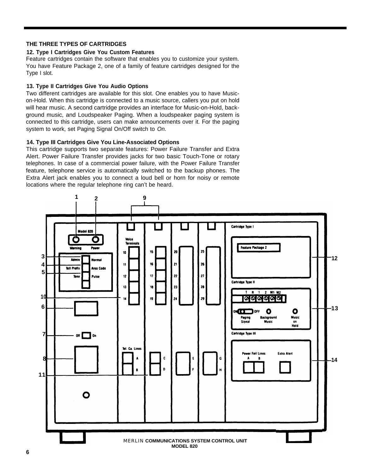#### <span id="page-6-3"></span><span id="page-6-2"></span><span id="page-6-1"></span><span id="page-6-0"></span>**THE THREE TYPES OF CARTRIDGES**

#### **12. Type I Cartridges Give You Custom Features**

Feature cartridges contain the software that enables you to customize your system. You have Feature Package 2, one of a family of feature cartridges designed for the Type I slot.

#### **13. Type II Cartridges Give You Audio Options**

Two different cartridges are available for this slot. One enables you to have Musicon-Hold. When this cartridge is connected to a music source, callers you put on hold will hear music. A second cartridge provides an interface for Music-on-Hold, background music, and Loudspeaker Paging. When a loudspeaker paging system is connected to this cartridge, users can make announcements over it. For the paging system to work, set Paging Signal On/Off switch to On.

#### **14. Type III Cartridges Give You Line-Associated Options**

This cartridge supports two separate features: Power Failure Transfer and Extra Alert. Power Failure Transfer provides jacks for two basic Touch-Tone or rotary telephones. In case of a commercial power failure, with the Power Failure Transfer feature, telephone service is automatically switched to the backup phones. The Extra Alert jack enables you to connect a loud bell or horn for noisy or remote locations where the regular telephone ring can't be heard.

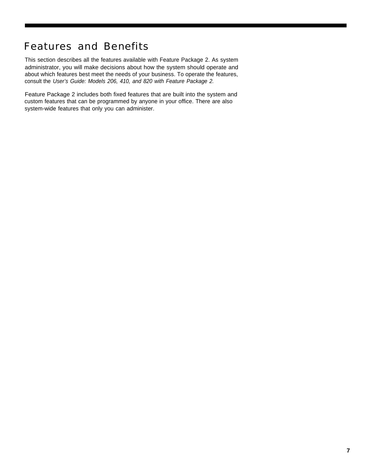### <span id="page-7-0"></span>Features and Benefits

This section describes all the features available with Feature Package 2. As system administrator, you will make decisions about how the system should operate and about which features best meet the needs of your business. To operate the features, consult the User's Guide: Models 206, 410, and 820 with Feature Package 2.

Feature Package 2 includes both fixed features that are built into the system and custom features that can be programmed by anyone in your office. There are also system-wide features that only you can administer.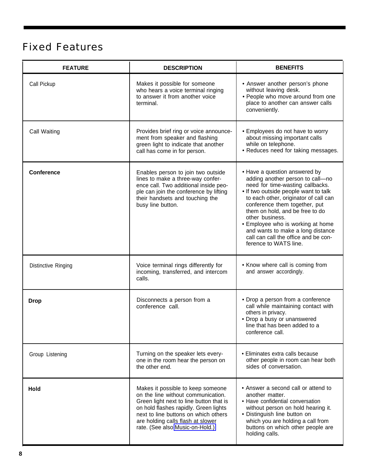### <span id="page-8-2"></span><span id="page-8-1"></span><span id="page-8-0"></span>Fixed Features

| <b>FEATURE</b>      | <b>DESCRIPTION</b>                                                                                                                                                                                                                                                          | <b>BENEFITS</b>                                                                                                                                                                                                                                                                                                                                                                                                          |
|---------------------|-----------------------------------------------------------------------------------------------------------------------------------------------------------------------------------------------------------------------------------------------------------------------------|--------------------------------------------------------------------------------------------------------------------------------------------------------------------------------------------------------------------------------------------------------------------------------------------------------------------------------------------------------------------------------------------------------------------------|
| Call Pickup         | Makes it possible for someone<br>who hears a voice terminal ringing<br>to answer it from another voice<br>terminal.                                                                                                                                                         | • Answer another person's phone<br>without leaving desk.<br>• People who move around from one<br>place to another can answer calls<br>conveniently.                                                                                                                                                                                                                                                                      |
| Call Waiting        | Provides brief ring or voice announce-<br>ment from speaker and flashing<br>green light to indicate that another<br>call has come in for person.                                                                                                                            | • Employees do not have to worry<br>about missing important calls<br>while on telephone.<br>• Reduces need for taking messages.                                                                                                                                                                                                                                                                                          |
| <b>Conference</b>   | Enables person to join two outside<br>lines to make a three-way confer-<br>ence call. Two additional inside peo-<br>ple can join the conference by lifting<br>their handsets and touching the<br>busy line button.                                                          | • Have a question answered by<br>adding another person to call-no<br>need for time-wasting callbacks.<br>. If two outside people want to talk<br>to each other, originator of call can<br>conference them together, put<br>them on hold, and be free to do<br>other business.<br>• Employee who is working at home<br>and wants to make a long distance<br>call can call the office and be con-<br>ference to WATS line. |
| Distinctive Ringing | Voice terminal rings differently for<br>incoming, transferred, and intercom<br>calls.                                                                                                                                                                                       | • Know where call is coming from<br>and answer accordingly.                                                                                                                                                                                                                                                                                                                                                              |
| <b>Drop</b>         | Disconnects a person from a<br>conference call.                                                                                                                                                                                                                             | • Drop a person from a conference<br>call while maintaining contact with<br>others in privacy.<br>• Drop a busy or unanswered<br>line that has been added to a<br>conference call.                                                                                                                                                                                                                                       |
| Group Listening     | • Eliminates extra calls because<br>Turning on the speaker lets every-<br>other people in room can hear both<br>one in the room hear the person on<br>sides of conversation.<br>the other end.                                                                              |                                                                                                                                                                                                                                                                                                                                                                                                                          |
| Hold                | Makes it possible to keep someone<br>on the line without communication.<br>Green light next to line button that is<br>on hold flashes rapidly. Green lights<br>next to line buttons on which others<br>are holding calls flash at slower<br>rate. (See also Music-on-Hold.) | • Answer a second call or attend to<br>another matter.<br>• Have confidential conversation<br>without person on hold hearing it.<br>• Distinguish line button on<br>which you are holding a call from<br>buttons on which other people are<br>holding calls.                                                                                                                                                             |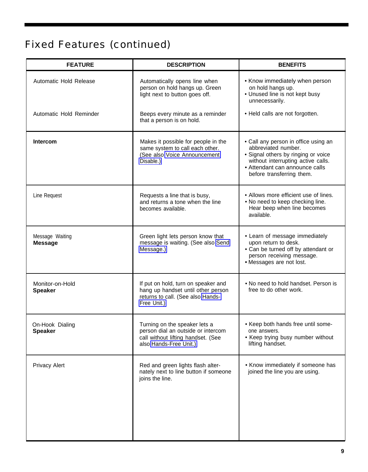## <span id="page-9-0"></span>Fixed Features (continued)

| <b>FEATURE</b>                    | <b>DESCRIPTION</b>                                                                                                                                                                                                                                 | <b>BENEFITS</b>                                                                                                                                                                                         |
|-----------------------------------|----------------------------------------------------------------------------------------------------------------------------------------------------------------------------------------------------------------------------------------------------|---------------------------------------------------------------------------------------------------------------------------------------------------------------------------------------------------------|
| Automatic Hold Release            | Automatically opens line when<br>person on hold hangs up. Green<br>light next to button goes off.                                                                                                                                                  | • Know immediately when person<br>on hold hangs up.<br>• Unused line is not kept busy<br>unnecessarily.                                                                                                 |
| Automatic Hold Reminder           | Beeps every minute as a reminder<br>that a person is on hold.                                                                                                                                                                                      | • Held calls are not forgotten.                                                                                                                                                                         |
| <b>Intercom</b>                   | Makes it possible for people in the<br>same system to call each other.<br>(See also Voice Announcement<br>Disable.)                                                                                                                                | • Call any person in office using an<br>abbreviated number.<br>• Signal others by ringing or voice<br>without interrupting active calls.<br>• Attendant can announce calls<br>before transferring them. |
| Line Request                      | Requests a line that is busy,<br>and returns a tone when the line<br>becomes available.                                                                                                                                                            | • Allows more efficient use of lines.<br>. No need to keep checking line.<br>Hear beep when line becomes<br>available.                                                                                  |
| Message Waiting<br><b>Message</b> | Green light lets person know that<br>message is waiting. (See also Send<br>Message.)                                                                                                                                                               | • Learn of message immediately<br>upon return to desk.<br>• Can be turned off by attendant or<br>person receiving message.<br>· Messages are not lost.                                                  |
| Monitor-on-Hold<br><b>Speaker</b> | If put on hold, turn on speaker and<br>hang up handset until other person<br>returns to call. (See also Hands-<br>Free Unit.)                                                                                                                      | • No need to hold handset. Person is<br>free to do other work.                                                                                                                                          |
| On-Hook Dialing<br><b>Speaker</b> | Turning on the speaker lets a<br>• Keep both hands free until some-<br>person dial an outside or intercom<br>one answers.<br>• Keep trying busy number without<br>call without lifting handset. (See<br>lifting handset.<br>also Hands-Free Unit.) |                                                                                                                                                                                                         |
| <b>Privacy Alert</b>              | Red and green lights flash alter-<br>nately next to line button if someone<br>joins the line.                                                                                                                                                      | • Know immediately if someone has<br>joined the line you are using.                                                                                                                                     |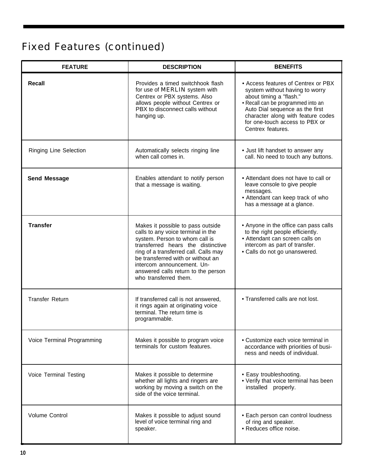## <span id="page-10-2"></span><span id="page-10-1"></span><span id="page-10-0"></span>Fixed Features (continued)

| <b>FEATURE</b>                | <b>DESCRIPTION</b>                                                                                                                                                                                                                                                                                                         | <b>BENEFITS</b>                                                                                                                                                                                                                                                        |
|-------------------------------|----------------------------------------------------------------------------------------------------------------------------------------------------------------------------------------------------------------------------------------------------------------------------------------------------------------------------|------------------------------------------------------------------------------------------------------------------------------------------------------------------------------------------------------------------------------------------------------------------------|
| Recall                        | Provides a timed switchhook flash<br>for use of <b>MERLIN</b> system with<br>Centrex or PBX systems. Also<br>allows people without Centrex or<br>PBX to disconnect calls without<br>hanging up.                                                                                                                            | • Access features of Centrex or PBX<br>system without having to worry<br>about timing a "flash."<br>• Recall can be programmed into an<br>Auto Dial sequence as the first<br>character along with feature codes<br>for one-touch access to PBX or<br>Centrex features. |
| <b>Ringing Line Selection</b> | Automatically selects ringing line<br>when call comes in.                                                                                                                                                                                                                                                                  | • Just lift handset to answer any<br>call. No need to touch any buttons.                                                                                                                                                                                               |
| <b>Send Message</b>           | Enables attendant to notify person<br>that a message is waiting.                                                                                                                                                                                                                                                           | • Attendant does not have to call or<br>leave console to give people<br>messages.<br>• Attendant can keep track of who<br>has a message at a glance.                                                                                                                   |
| <b>Transfer</b>               | Makes it possible to pass outside<br>calls to any voice terminal in the<br>system. Person to whom call is<br>transferred hears the distinctive<br>ring of a transferred call. Calls may<br>be transferred with or without an<br>intercom announcement. Un-<br>answered calls return to the person<br>who transferred them. | • Anyone in the office can pass calls<br>to the right people efficiently.<br>• Attendant can screen calls on<br>intercom as part of transfer.<br>• Calls do not go unanswered.                                                                                         |
| <b>Transfer Return</b>        | If transferred call is not answered,<br>it rings again at originating voice<br>terminal. The return time is<br>programmable.                                                                                                                                                                                               | • Transferred calls are not lost.                                                                                                                                                                                                                                      |
| Voice Terminal Programming    | Makes it possible to program voice<br>terminals for custom features.                                                                                                                                                                                                                                                       | • Customize each voice terminal in<br>accordance with priorities of busi-<br>ness and needs of individual.                                                                                                                                                             |
| Voice Terminal Testing        | Makes it possible to determine<br>• Easy troubleshooting.<br>• Verify that voice terminal has been<br>whether all lights and ringers are<br>working by moving a switch on the<br>installed properly.<br>side of the voice terminal.                                                                                        |                                                                                                                                                                                                                                                                        |
| Volume Control                | Makes it possible to adjust sound<br>level of voice terminal ring and<br>speaker.                                                                                                                                                                                                                                          | • Each person can control loudness<br>of ring and speaker.<br>• Reduces office noise.                                                                                                                                                                                  |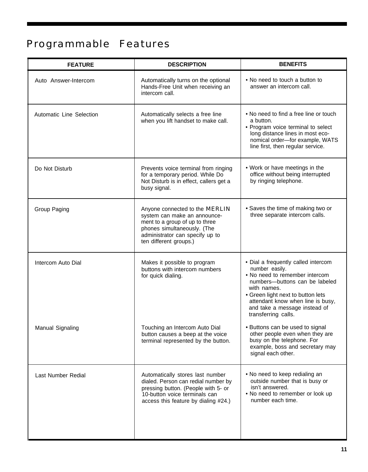# <span id="page-11-2"></span><span id="page-11-1"></span><span id="page-11-0"></span>Programmable Features

| <b>FEATURE</b>           | <b>DESCRIPTION</b>                                                                                                                                                                           | <b>BENEFITS</b>                                                                                                                                                                                                                                                            |
|--------------------------|----------------------------------------------------------------------------------------------------------------------------------------------------------------------------------------------|----------------------------------------------------------------------------------------------------------------------------------------------------------------------------------------------------------------------------------------------------------------------------|
| Auto Answer-Intercom     | Automatically turns on the optional<br>Hands-Free Unit when receiving an<br>intercom call.                                                                                                   | • No need to touch a button to<br>answer an intercom call.                                                                                                                                                                                                                 |
| Automatic Line Selection | Automatically selects a free line<br>when you lift handset to make call.                                                                                                                     | • No need to find a free line or touch<br>a button.<br>• Program voice terminal to select<br>long distance lines in most eco-<br>nomical order-for example, WATS<br>line first, then regular service.                                                                      |
| Do Not Disturb           | Prevents voice terminal from ringing<br>for a temporary period. While Do<br>Not Disturb is in effect, callers get a<br>busy signal.                                                          | • Work or have meetings in the<br>office without being interrupted<br>by ringing telephone.                                                                                                                                                                                |
| Group Paging             | Anyone connected to the MERLIN<br>system can make an announce-<br>ment to a group of up to three<br>phones simultaneously. (The<br>administrator can specify up to<br>ten different groups.) | • Saves the time of making two or<br>three separate intercom calls.                                                                                                                                                                                                        |
| Intercom Auto Dial       | Makes it possible to program<br>buttons with intercom numbers<br>for quick dialing.                                                                                                          | • Dial a frequently called intercom<br>number easily.<br>• No need to remember intercom<br>numbers-buttons can be labeled<br>with names.<br>• Green light next to button lets<br>attendant know when line is busy,<br>and take a message instead of<br>transferring calls. |
| Manual Signaling         | Touching an Intercom Auto Dial<br>button causes a beep at the voice<br>terminal represented by the button.                                                                                   | • Buttons can be used to signal<br>other people even when they are<br>busy on the telephone. For<br>example, boss and secretary may<br>signal each other.                                                                                                                  |
| Last Number Redial       | Automatically stores last number<br>dialed. Person can redial number by<br>pressing button. (People with 5- or<br>10-button voice terminals can<br>access this feature by dialing #24.)      | • No need to keep redialing an<br>outside number that is busy or<br>isn't answered.<br>. No need to remember or look up<br>number each time.                                                                                                                               |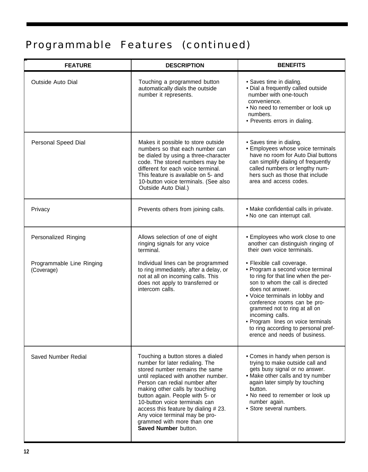## <span id="page-12-0"></span>Programmable Features (continued)

| <b>FEATURE</b>                          | <b>DESCRIPTION</b>                                                                                                                                                                                                                                                                                                                                                                                                   | <b>BENEFITS</b>                                                                                                                                                                                                                                                                                                                                                                                   |
|-----------------------------------------|----------------------------------------------------------------------------------------------------------------------------------------------------------------------------------------------------------------------------------------------------------------------------------------------------------------------------------------------------------------------------------------------------------------------|---------------------------------------------------------------------------------------------------------------------------------------------------------------------------------------------------------------------------------------------------------------------------------------------------------------------------------------------------------------------------------------------------|
| <b>Outside Auto Dial</b>                | Touching a programmed button<br>automatically dials the outside<br>number it represents.                                                                                                                                                                                                                                                                                                                             | • Saves time in dialing.<br>· Dial a frequently called outside<br>number with one-touch<br>convenience.<br>. No need to remember or look up<br>numbers.<br>• Prevents errors in dialing.                                                                                                                                                                                                          |
| Personal Speed Dial                     | Makes it possible to store outside<br>numbers so that each number can<br>be dialed by using a three-character<br>code. The stored numbers may be<br>different for each voice terminal.<br>This feature is available on 5- and<br>10-button voice terminals. (See also<br>Outside Auto Dial.)                                                                                                                         | • Saves time in dialing.<br>• Employees whose voice terminals<br>have no room for Auto Dial buttons<br>can simplify dialing of frequently<br>called numbers or lengthy num-<br>hers such as those that include<br>area and access codes.                                                                                                                                                          |
| Privacy                                 | Prevents others from joining calls.                                                                                                                                                                                                                                                                                                                                                                                  | • Make confidential calls in private.<br>. No one can interrupt call.                                                                                                                                                                                                                                                                                                                             |
| Personalized Ringing                    | Allows selection of one of eight<br>ringing signals for any voice<br>terminal.                                                                                                                                                                                                                                                                                                                                       | • Employees who work close to one<br>another can distinguish ringing of<br>their own voice terminals.                                                                                                                                                                                                                                                                                             |
| Programmable Line Ringing<br>(Coverage) | Individual lines can be programmed<br>to ring immediately, after a delay, or<br>not at all on incoming calls. This<br>does not apply to transferred or<br>intercom calls.                                                                                                                                                                                                                                            | · Flexible call coverage.<br>• Program a second voice terminal<br>to ring for that line when the per-<br>son to whom the call is directed<br>does not answer.<br>• Voice terminals in lobby and<br>conference rooms can be pro-<br>grammed not to ring at all on<br>incoming calls.<br>• Program lines on voice terminals<br>to ring according to personal pref-<br>erence and needs of business. |
| <b>Saved Number Redial</b>              | Touching a button stores a dialed<br>number for later redialing. The<br>stored number remains the same<br>until replaced with another number.<br>Person can redial number after<br>making other calls by touching<br>button again. People with 5- or<br>10-button voice terminals can<br>access this feature by dialing #23.<br>Any voice terminal may be pro-<br>grammed with more than one<br>Saved Number button. | • Comes in handy when person is<br>trying to make outside call and<br>gets busy signal or no answer.<br>• Make other calls and try number<br>again later simply by touching<br>button.<br>• No need to remember or look up<br>number again.<br>• Store several numbers.                                                                                                                           |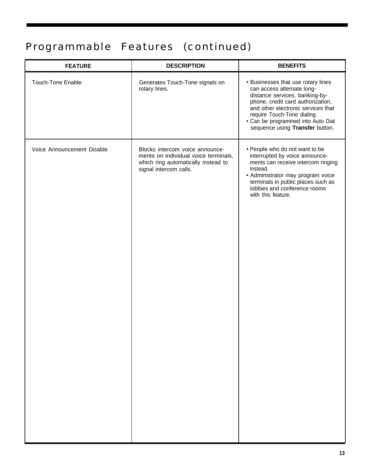## <span id="page-13-2"></span><span id="page-13-1"></span><span id="page-13-0"></span>Programmable Features (continued)

| <b>FEATURE</b>             | <b>DESCRIPTION</b>                                                                                                                       | <b>BENEFITS</b>                                                                                                                                                                                                                                                                       |
|----------------------------|------------------------------------------------------------------------------------------------------------------------------------------|---------------------------------------------------------------------------------------------------------------------------------------------------------------------------------------------------------------------------------------------------------------------------------------|
| <b>Touch-Tone Enable</b>   | Generates Touch-Tone signals on<br>rotary lines.                                                                                         | • Businesses that use rotary lines<br>can access alternate long-<br>distance services, banking-by-<br>phone, credit card authorization,<br>and other electronic services that<br>require Touch-Tone dialing.<br>• Can be programmed into Auto Dial<br>sequence using Transfer button. |
| Voice Announcement Disable | Blocks intercom voice announce-<br>ments on individual voice terminals,<br>which ring automatically instead to<br>signal intercom calls. | • People who do not want to be<br>interrupted by voice announce-<br>ments can receive intercom ringing<br>instead.<br>• Administrator may program voice<br>terminals in public places such as<br>lobbies and conference rooms<br>with this feature.                                   |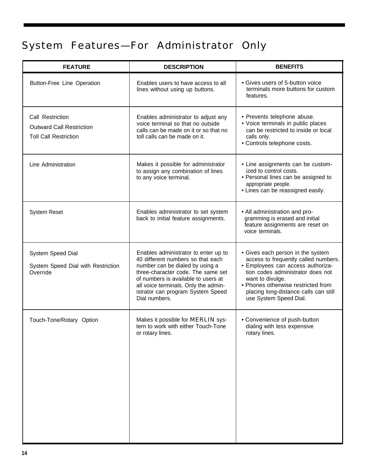## <span id="page-14-1"></span><span id="page-14-0"></span>System Features—For Administrator Only

| <b>FEATURE</b>                                                                      | <b>DESCRIPTION</b>                                                                                                                                                                                                                                                                      | <b>BENEFITS</b>                                                                                                                                                                                                                                                                  |
|-------------------------------------------------------------------------------------|-----------------------------------------------------------------------------------------------------------------------------------------------------------------------------------------------------------------------------------------------------------------------------------------|----------------------------------------------------------------------------------------------------------------------------------------------------------------------------------------------------------------------------------------------------------------------------------|
| Button-Free Line Operation                                                          | • Gives users of 5-button voice<br>Enables users to have access to all<br>terminals more buttons for custom<br>lines without using up buttons.<br>features.                                                                                                                             |                                                                                                                                                                                                                                                                                  |
| Call Restriction<br><b>Outward Call Restriction</b><br><b>Toll Call Restriction</b> | Enables administrator to adjust any<br>voice terminal so that no outside<br>calls can be made on it or so that no<br>toll calls can be made on it.                                                                                                                                      | • Prevents telephone abuse.<br>• Voice terminals in public places<br>can be restricted to inside or local<br>calls only.<br>• Controls telephone costs.                                                                                                                          |
| Line Administration                                                                 | Makes it possible for administrator<br>to assign any combination of lines<br>to any voice terminal.                                                                                                                                                                                     | • Line assignments can be custom-<br>ized to control costs.<br>• Personal lines can be assigned to<br>appropriate people.<br>• Lines can be reassigned easily.                                                                                                                   |
| <b>System Reset</b>                                                                 | Enables administrator to set system<br>back to initial feature assignments.                                                                                                                                                                                                             | • All administration and pro-<br>gramming is erased and initial<br>feature assignments are reset on<br>voice terminals.                                                                                                                                                          |
| System Speed Dial<br>System Speed Dial with Restriction<br>Override                 | Enables administrator to enter up to<br>40 different numbers so that each<br>number can be dialed by using a<br>three-character code. The same set<br>of numbers is available to users at<br>all voice terminals. Only the admin-<br>istrator can program System Speed<br>Dial numbers. | • Gives each person in the system<br>access to frequently called numbers.<br>· Employees can access authoriza-<br>tion codes administrator does not<br>want to divulge.<br>• Phones otherwise restricted from<br>placing long-distance calls can still<br>use System Speed Dial. |
| Touch-Tone/Rotary Option                                                            | Makes it possible for <b>MERLIN</b> sys-<br>tern to work with either Touch-Tone<br>or rotary lines.                                                                                                                                                                                     | • Convenience of push-button<br>dialing with less expensive<br>rotary lines.                                                                                                                                                                                                     |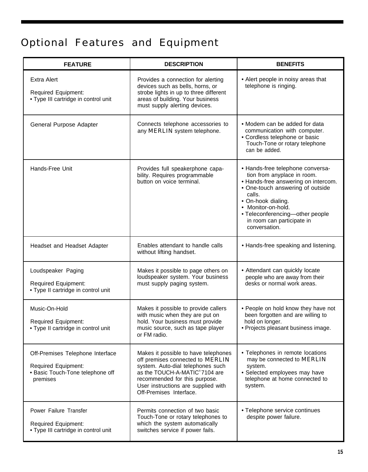## <span id="page-15-3"></span><span id="page-15-2"></span><span id="page-15-1"></span><span id="page-15-0"></span>Optional Features and Equipment

| <b>FEATURE</b>                                                                                                 | <b>DESCRIPTION</b>                                                                                                                                                                                                                                | <b>BENEFITS</b>                                                                                                                                                                                                                                                                    |
|----------------------------------------------------------------------------------------------------------------|---------------------------------------------------------------------------------------------------------------------------------------------------------------------------------------------------------------------------------------------------|------------------------------------------------------------------------------------------------------------------------------------------------------------------------------------------------------------------------------------------------------------------------------------|
| <b>Extra Alert</b><br>Required Equipment:<br>• Type III cartridge in control unit                              | Provides a connection for alerting<br>devices such as bells, horns, or<br>strobe lights in up to three different<br>areas of building. Your business<br>must supply alerting devices.                                                             | • Alert people in noisy areas that<br>telephone is ringing.                                                                                                                                                                                                                        |
| General Purpose Adapter                                                                                        | Connects telephone accessories to<br>any MERLIN system telephone.                                                                                                                                                                                 | • Modem can be added for data<br>communication with computer.<br>• Cordless telephone or basic<br>Touch-Tone or rotary telephone<br>can be added.                                                                                                                                  |
| Hands-Free Unit                                                                                                | Provides full speakerphone capa-<br>bility. Requires programmable<br>button on voice terminal.                                                                                                                                                    | • Hands-free telephone conversa-<br>tion from anyplace in room.<br>• Hands-free answering on intercom.<br>• One-touch answering of outside<br>calls.<br>• On-hook dialing.<br>• Monitor-on-hold.<br>• Teleconferencing-other people<br>in room can participate in<br>conversation. |
| Headset and Headset Adapter                                                                                    | Enables attendant to handle calls<br>without lifting handset.                                                                                                                                                                                     | • Hands-free speaking and listening.                                                                                                                                                                                                                                               |
| Loudspeaker Paging<br><b>Required Equipment:</b><br>• Type II cartridge in control unit                        | Makes it possible to page others on<br>loudspeaker system. Your business<br>must supply paging system.                                                                                                                                            | • Attendant can quickly locate<br>people who are away from their<br>desks or normal work areas.                                                                                                                                                                                    |
| Music-On-Hold<br><b>Required Equipment:</b><br>• Type II cartridge in control unit                             | Makes it possible to provide callers<br>with music when they are put on<br>hold. Your business must provide<br>music source, such as tape player<br>or FM radio.                                                                                  | • People on hold know they have not<br>been forgotten and are willing to<br>hold on longer.<br>• Projects pleasant business image.                                                                                                                                                 |
| Off-Premises Telephone Interface<br><b>Required Equipment:</b><br>• Basic Touch-Tone telephone off<br>premises | Makes it possible to have telephones<br>off premises connected to MERLIN<br>system. Auto-dial telephones such<br>as the TOUCH-A-MATIC®7104 are<br>recommended for this purpose.<br>User instructions are supplied with<br>Off-Premises Interface. | • Telephones in remote locations<br>may be connected to MERLIN<br>system.<br>• Selected employees may have<br>telephone at home connected to<br>system.                                                                                                                            |
| Power Failure Transfer<br>Required Equipment:<br>• Type III cartridge in control unit                          | Permits connection of two basic<br>Touch-Tone or rotary telephones to<br>which the system automatically<br>switches service if power fails.                                                                                                       | • Telephone service continues<br>despite power failure.                                                                                                                                                                                                                            |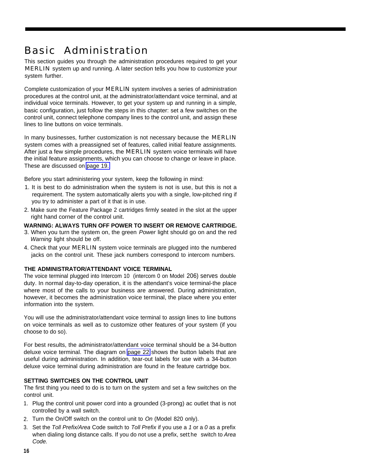### <span id="page-16-5"></span><span id="page-16-4"></span><span id="page-16-3"></span><span id="page-16-0"></span>Basic Administration

This section guides you through the administration procedures required to get your MERLIN system up and running. A later section tells you how to customize your system further.

Complete customization of your MERLlN system involves a series of administration procedures at the control unit, at the administrator/attendant voice terminal, and at individual voice terminals. However, to get your system up and running in a simple, basic configuration, just follow the steps in this chapter: set a few switches on the control unit, connect telephone company lines to the control unit, and assign these lines to line buttons on voice terminals.

In many businesses, further customization is not necessary because the **MERLIN** system comes with a preassigned set of features, called initial feature assignments. After just a few simple procedures, the **MERLIN** system voice terminals will have the initial feature assignments, which you can choose to change or leave in place. These are discussed on [page 19.](#page-19-2)

<span id="page-16-2"></span><span id="page-16-1"></span>Before you start administering your system, keep the following in mind:

- 1. It is best to do administration when the system is not is use, but this is not a requirement. The system automatically alerts you with a single, low-pitched ring if you try to administer a part of it that is in use.
- 2. Make sure the Feature Package 2 cartridges firmly seated in the slot at the upper right hand corner of the control unit.

#### **WARNING: ALWAYS TURN OFF POWER TO lNSERT OR REMOVE CARTRIDGE.**

- 3. When you turn the system on, the green Power light should go on and the red Warning light should be off.
- 4. Check that your **MERLIN** system voice terminals are plugged into the numbered jacks on the control unit. These jack numbers correspond to intercom numbers.

#### **THE ADMINISTRATOR/ATTENDANT VOICE TERMINAL**

The voice terminal plugged into Intercom 10 (intercom 0 on Model 206) serves double duty. In normal day-to-day operation, it is the attendant's voice terminal-the place where most of the calls to your business are answered. During administration, however, it becomes the administration voice terminal, the place where you enter information into the system.

You will use the administrator/attendant voice terminal to assign lines to line buttons on voice terminals as well as to customize other features of your system (if you choose to do so).

For best results, the administrator/attendant voice terminal should be a 34-button deluxe voice terminal. The diagram on [page 22](#page-22-0) shows the button labels that are useful during administration. In addition, tear-out labels for use with a 34-button deluxe voice terminal during administration are found in the feature cartridge box.

#### **SETTING SWITCHES ON THE CONTROL UNIT**

The first thing you need to do is to turn on the system and set a few switches on the control unit.

- 1. Plug the control unit power cord into a grounded (3-prong) ac outlet that is not controlled by a wall switch.
- 2. Turn the On/Off switch on the control unit to On (Model 820 only).
- 3. Set the Toll Prefix/Area Code switch to Toll Prefix if you use a 1 or a 0 as a prefix when dialing long distance calls. If you do not use a prefix, setthe switch to Area Code.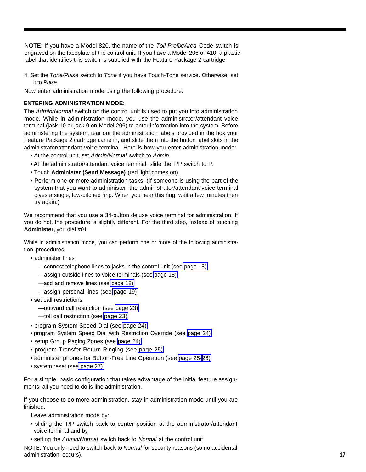<span id="page-17-7"></span><span id="page-17-6"></span><span id="page-17-5"></span><span id="page-17-4"></span><span id="page-17-3"></span><span id="page-17-2"></span><span id="page-17-1"></span>NOTE: If you have a Model 820, the name of the Toll Prefix/Area Code switch is engraved on the faceplate of the control unit. If you have a Model 206 or 410, a plastic label that identifies this switch is supplied with the Feature Package 2 cartridge.

4. Set the Tone/Pulse switch to Tone if you have Touch-Tone service. Otherwise, set it to Pulse.

Now enter administration mode using the following procedure:

#### <span id="page-17-0"></span>**ENTERING ADMINISTRATION MODE:**

The Admin/Normal switch on the control unit is used to put you into administration mode. While in administration mode, you use the administrator/attendant voice terminal (jack 10 or jack 0 on Model 206) to enter information into the system. Before administering the system, tear out the administration labels provided in the box your Feature Package 2 cartridge came in, and slide them into the button label slots in the administrator/attendant voice terminal. Here is how you enter administration mode:

- At the control unit, set Admin/Normal switch to Admin.
- At the administrator/attendant voice terminal, slide the T/P switch to P.
- Touch **Administer (Send Message)** (red light comes on).
- Perform one or more administration tasks. (If someone is using the part of the system that you want to administer, the administrator/attendant voice terminal gives a single, low-pitched ring. When you hear this ring, wait a few minutes then try again.)

We recommend that you use a 34-button deluxe voice terminal for administration. If you do not, the procedure is slightly different. For the third step, instead of touching **Administer,** you dial #01.

While in administration mode, you can perform one or more of the following administration procedures:

- administer lines
	- —connect telephone lines to jacks in the control unit (see [page 18\)](#page-18-3)
	- —assign outside lines to voice terminals (see [page 18\)](#page-18-3)
	- —add and remove lines (see [page 18\)](#page-18-3)
	- —assign personal lines (see [page 19\)](#page-19-3)
- set call restrictions
	- —outward call restriction (see [page 23\)](#page-23-2)
	- —toll call restriction (see [page 23\)](#page-23-2)
- program System Speed Dial (see [page 24\)](#page-24-2)
- program System Speed Dial with Restriction Override (see [page 24\)](#page-24-2)
- setup Group Paging Zones (see [page 24\)](#page-24-2)
- program Transfer Return Ringing (see [page 25\)](#page-25-2)
- administer phones for Button-Free Line Operation (see [page 25-](#page-25-2)[26\)](#page-26-1)
- system reset (se[e page 27\)](#page-27-1)

For a simple, basic configuration that takes advantage of the initial feature assignments, all you need to do is line administration.

If you choose to do more administration, stay in administration mode until you are finished.

Leave administration mode by:

- sliding the T/P switch back to center position at the administrator/attendant voice terminal and by
- setting the Admin/Normal switch back to Normal at the control unit.

NOTE: You only need to switch back to Normal for security reasons (so no accidental administration occurs). **17**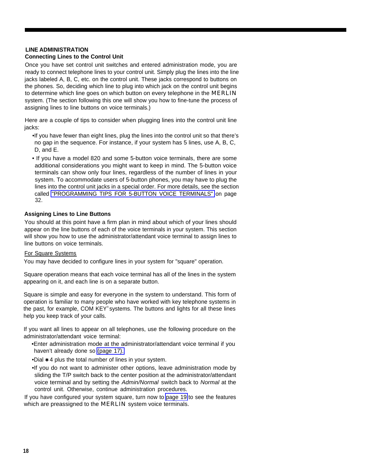### <span id="page-18-4"></span><span id="page-18-3"></span><span id="page-18-0"></span>**LINE ADMINISTRATION**

#### <span id="page-18-1"></span>**Connecting Lines to the Control Unit**

Once you have set control unit switches and entered administration mode, you are ready to connect telephone lines to your control unit. Simply plug the lines into the line jacks labeled A, B, C, etc. on the control unit. These jacks correspond to buttons on the phones. So, deciding which line to plug into which jack on the control unit begins to determine which line goes on which button on every telephone in the MERLIN system. (The section following this one will show you how to fine-tune the process of assigning lines to line buttons on voice terminals.)

Here are a couple of tips to consider when plugging lines into the control unit line jacks:

- •If you have fewer than eight lines, plug the lines into the control unit so that there's no gap in the sequence. For instance, if your system has 5 lines, use A, B, C, D, and E.
- <span id="page-18-2"></span>• If you have a model 820 and some 5-button voice terminals, there are some additional considerations you might want to keep in mind. The 5-button voice terminals can show only four lines, regardless of the number of lines in your system. To accommodate users of 5-button phones, you may have to plug the lines into the control unit jacks in a special order. For more details, see the section called ["PROGRAMMING TIPS FOR 5-BUTTON VOICE TERMINALS"](#page-32-2) on page 32.

#### **Assigning Lines to Line Buttons**

You should at this point have a firm plan in mind about which of your lines should appear on the line buttons of each of the voice terminals in your system. This section will show you how to use the administrator/attendant voice terminal to assign lines to line buttons on voice terminals.

#### For Square Systems

You may have decided to configure lines in your system for "square" operation.

Square operation means that each voice terminal has all of the lines in the system appearing on it, and each line is on a separate button.

Square is simple and easy for everyone in the system to understand. This form of operation is familiar to many people who have worked with key telephone systems in the past, for example, COM KEY® systems. The buttons and lights for all these lines help you keep track of your calls.

If you want all lines to appear on all telephones, use the following procedure on the administrator/attendant voice terminal:

- •Enter administration mode at the administrator/attendant voice terminal if you haven't already done so [\(page 17\).](#page-17-2)
- •Dial  $*$  4 plus the total number of lines in your system.
- •If you do not want to administer other options, leave administration mode by sliding the T/P switch back to the center position at the administrator/attendant voice terminal and by setting the Admin/Normal switch back to Normal at the control unit. Otherwise, continue administration procedures.

If you have configured your system square, turn now to [page 19](#page-19-4) to see the features which are preassigned to the **MERLIN** system voice terminals.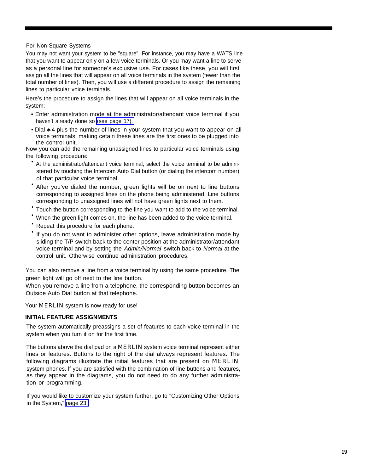#### <span id="page-19-4"></span><span id="page-19-3"></span><span id="page-19-2"></span><span id="page-19-1"></span>For Non-Square Systems

You may not want your system to be "square". For instance, you may have a WATS line that you want to appear only on a few voice terminals. Or you may want a line to serve as a personal line for someone's exclusive use. For cases like these, you will first assign all the lines that will appear on all voice terminals in the system (fewer than the total number of lines). Then, you will use a different procedure to assign the remaining lines to particular voice terminals.

Here's the procedure to assign the lines that will appear on all voice terminals in the system:

- Enter administration mode at the administrator/attendant voice terminal if you haven't already done so [\(see page 17\).](#page-17-1)
- Dial  $*$  4 plus the number of lines in your system that you want to appear on all voice terminals, making cetain these lines are the first ones to be plugged into the control unit.

<span id="page-19-0"></span>Now you can add the remaining unassigned lines to particular voice terminals using the following procedure:

- At the administrator/attendant voice terminal, select the voice terminal to be administered by touching the Intercom Auto Dial button (or dialing the intercom number) of that particular voice terminal.
- After you've dialed the number, green lights will be on next to line buttons corresponding to assigned lines on the phone being administered. Line buttons corresponding to unassigned lines will not have green lights next to them.
- Touch the button corresponding to the line you want to add to the voice terminal.
- When the green light comes on, the line has been added to the voice terminal.
- Repeat this procedure for each phone.
- If you do not want to administer other options, leave administration mode by sliding the T/P switch back to the center position at the administrator/attendant voice terminal and by setting the Admin/Normal switch back to Normal at the control unit. Otherwise continue administration procedures.

You can also remove a line from a voice terminal by using the same procedure. The green light will go off next to the line button.

When you remove a line from a telephone, the corresponding button becomes an Outside Auto Dial button at that telephone.

Your **MERLIN** system is now ready for use!

#### **INITIAL FEATURE ASSIGNMENTS**

The system automatically preassigns a set of features to each voice terminal in the system when you turn it on for the first time.

The buttons above the dial pad on a MERLIN system voice terminal represent either lines or features. Buttons to the right of the dial always represent features. The following diagrams illustrate the initial features that are present on **MERLIN** system phones. lf you are satisfied with the combination of line buttons and features, as they appear in the diagrams, you do not need to do any further administration or programming.

If you would like to customize your system further, go to "Customizing Other Options in the System," [page 23.](#page-23-3)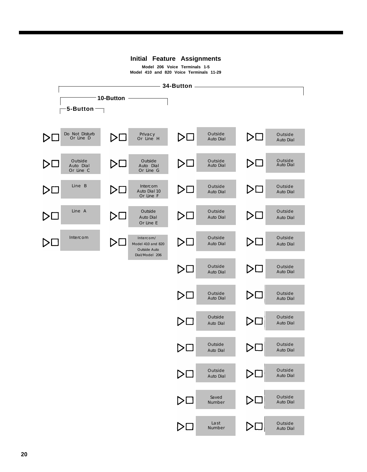#### **Initial Feature Assignments**

**Model 206 Voice Terminals 1-5 Model 410 and 820 Voice Terminals 11-29**

<span id="page-20-2"></span><span id="page-20-1"></span><span id="page-20-0"></span>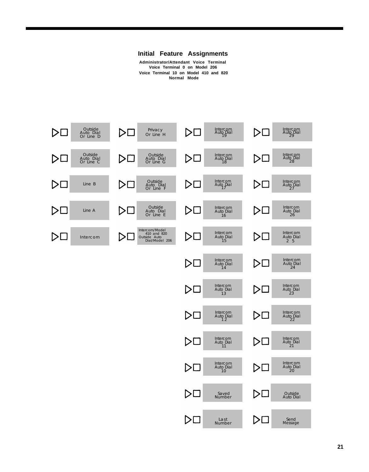

**Administrator/Attendant Voice Terminal Voice Terminal 0 on Model 206 Voice Terminal 10 on Model 410 and 820 Normal Mode**

<span id="page-21-0"></span>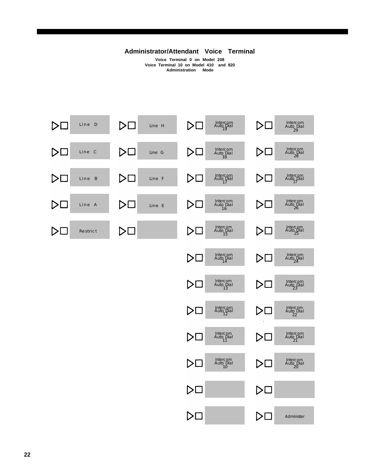#### **Administrator/Attendant Voice Terminal**

**Voice Terminal 0 on Model 208 Voice Terminal 10 on Model 410 and 820 Administration Mode**

<span id="page-22-2"></span><span id="page-22-1"></span><span id="page-22-0"></span>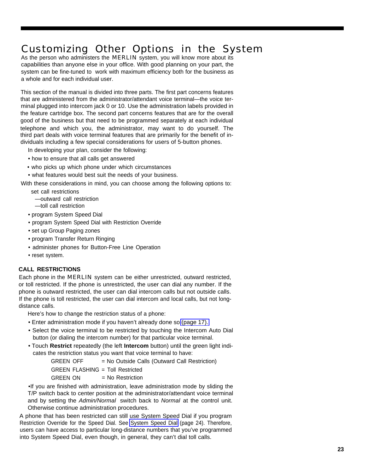### <span id="page-23-4"></span><span id="page-23-3"></span><span id="page-23-2"></span><span id="page-23-0"></span>Customizing Other Options in the System

As the person who administers the **MERLIN** system, you will know more about its capabilities than anyone else in your office. With good planning on your part, the system can be fine-tuned to work with maximum efficiency both for the business as a whole and for each individual user.

This section of the manual is divided into three parts. The first part concerns features that are administered from the administrator/attendant voice terminal—the voice terminal plugged into intercom jack 0 or 10. Use the administration labels provided in the feature cartridge box. The second part concerns features that are for the overall good of the business but that need to be programmed separately at each individual telephone and which you, the administrator, may want to do yourself. The third part deals with voice terminal features that are primarily for the benefit of individuals including a few special considerations for users of 5-button phones.

In developing your pIan, consider the following:

- <span id="page-23-1"></span>• how to ensure that all calls get answered
- who picks up which phone under which circumstances

• what features would best suit the needs of your business.

With these considerations in mind, you can choose among the following options to:

- set call restrictions
	- —outward call restriction
- —toll call restriction
- program System Speed Dial
- program System Speed Dial with Restriction Override
- set up Group Paging zones
- program Transfer Return Ringing
- administer phones for Button-Free Line Operation
- reset system.

#### **CALL RESTRICTIONS**

Each phone in the MERLIN system can be either unrestricted, outward restricted, or toll restricted. If the phone is unrestricted, the user can dial any number. If the phone is outward restricted, the user can dial intercom calls but not outside calls. If the phone is toll restricted, the user can dial intercom and local calls, but not longdistance calls.

Here's how to change the restriction status of a phone:

- Enter administration mode if you haven't already done so [\(page 17\).](#page-17-3)
- Select the voice terminal to be restricted by touching the Intercom Auto Dial button (or dialing the intercom number) for that particular voice terminal.
- Touch **Restrict** repeatedly (the left **Intercom** button) until the green light indicates the restriction status you want that voice terminal to have:

GREEN OFF = No Outside Calls (Outward Call Restriction) GREEN FLASHING = Toll Restricted  $G$ REEN ON  $=$  No Restriction

•If you are finished with administration, leave administration mode by sliding the T/P switch back to center position at the administrator/attendant voice terminal and by setting the Admin/Normal switch back to Normal at the control unit. Otherwise continue administration procedures.

A phone that has been restricted can still use System Speed Dial if you program Restriction Override for the Speed Dial. See [System Speed Dial](#page-24-3) (page 24). Therefore, users can have access to particular long-distance numbers that you've programmed into System Speed Dial, even though, in general, they can't dial toll calls.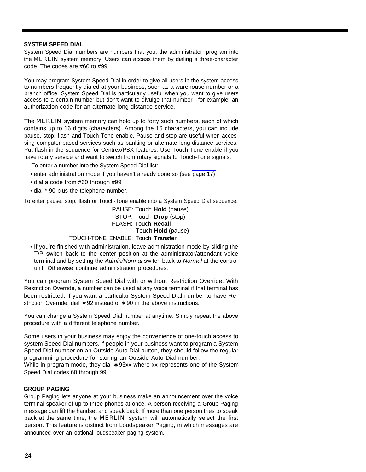#### <span id="page-24-6"></span><span id="page-24-5"></span><span id="page-24-4"></span><span id="page-24-3"></span><span id="page-24-2"></span><span id="page-24-0"></span>**SYSTEM SPEED DIAL**

System Speed Dial numbers are numbers that you, the administrator, program into the **MERLIN** system memory. Users can access them by dialing a three-character code. The codes are #60 to #99.

You may program System Speed Dial in order to give all users in the system access to numbers frequently dialed at your business, such as a warehouse number or a branch office. System Speed Dial is particularly useful when you want to give users access to a certain number but don't want to divulge that number—for example, an authorization code for an alternate long-distance service.

The **MERLIN** system memory can hold up to forty such numbers, each of which contains up to 16 digits (characters). Among the 16 characters, you can include pause, stop, flash and Touch-Tone enable. Pause and stop are useful when accessing computer-based services such as banking or alternate long-distance services. Put flash in the sequence for Centrex/PBX features. Use Touch-Tone enable if you have rotary service and want to switch from rotary signals to Touch-Tone signals.

<span id="page-24-1"></span>To enter a number into the System Speed Dial list:

- enter administration mode if you haven't already done so (see [page 17\)](#page-17-4)
- dial a code from #60 through #99
- dial \* 90 plus the telephone number.

To enter pause, stop, flash or Touch-Tone enable into a System Speed Dial sequence:

PAUSE: Touch **Hold** (pause) STOP: Touch **Drop** (stop) FLASH: Touch **Recall** Touch **Hold** (pause) TOUCH-TONE ENABLE: Touch **Transfer**

#### **•** If you're finished with administration, leave administration mode by sliding the T/P switch back to the center position at the administrator/attendant voice terminal and by setting the Admin/Normal switch back to Normal at the control unit. Otherwise continue administration procedures.

You can program System Speed Dial with or without Restriction Override. With Restriction Override, a number can be used at any voice terminal if that terminal has been restricted. if you want a particular System Speed Dial number to have Restriction Override, dial  $*$  92 instead of  $*$  90 in the above instructions.

You can change a System Speed Dial number at anytime. Simply repeat the above procedure with a different telephone number.

Some users in your business may enjoy the convenience of one-touch access to system Speed Dial numbers. if people in your business want to program a System Speed Dial number on an Outside Auto Dial button, they should follow the regular programming procedure for storing an Outside Auto Dial number.

While in program mode, they dial  $*95xx$  where xx represents one of the System Speed Dial codes 60 through 99.

#### **GROUP PAGING**

Group Paging lets anyone at your business make an announcement over the voice terminal speaker of up to three phones at once. A person receiving a Group Paging message can lift the handset and speak back. If more than one person tries to speak back at the same time, the **MERLIN** system will automatically select the first person. This feature is distinct from Loudspeaker Paging, in which messages are announced over an optional loudspeaker paging system.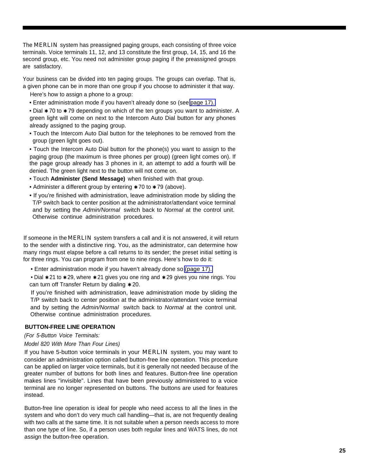<span id="page-25-6"></span><span id="page-25-5"></span><span id="page-25-4"></span><span id="page-25-3"></span><span id="page-25-2"></span><span id="page-25-0"></span>The MERLIN system has preassigned paging groups, each consisting of three voice terminals. Voice terminals 11, 12, and 13 constitute the first group, 14, 15, and 16 the second group, etc. You need not administer group paging if the preassigned groups are satisfactory.

Your business can be divided into ten paging groups. The groups can overlap. That is, a given phone can be in more than one group if you choose to administer it that way.

Here's how to assign a phone to a group:

• Enter administration mode if you haven't already done so (see [page 17\).](#page-17-1)

• Dial  $*$  70 to  $*$  79 depending on which of the ten groups you want to administer. A green light will come on next to the Intercom Auto Dial button for any phones already assigned to the paging group.

• Touch the Intercom Auto Dial button for the telephones to be removed from the group (green light goes out).

<span id="page-25-1"></span>• Touch the Intercom Auto Dial button for the phone(s) you want to assign to the paging group (the maximum is three phones per group) (green light comes on). If the page group already has 3 phones in it, an attempt to add a fourth will be denied. The green light next to the button will not come on.

- Touch **Administer (Send Message)** when finished with that group.
- Administer a different group by entering  $*$  70 to  $*$  79 (above).
- If you're finished with administration, leave administration mode by sliding the T/P switch back to center position at the administrator/attendant voice terminal and by setting the Admin/Normal switch back to Normal at the control unit. Otherwise continue administration procedures.

If someone in the MERLIN system transfers a call and it is not answered, it will return to the sender with a distinctive ring. You, as the administrator, can determine how many rings must elapse before a call returns to its sender; the preset initial setting is for three rings. You can program from one to nine rings. Here's how to do it:

• Enter administration mode if you haven't already done so [\(page 17\).](#page-17-5)

• Dial  $* 21$  to  $* 29$ , where  $* 21$  gives you one ring and  $* 29$  gives you nine rings. You can turn off Transfer Return by dialing  $*$  20.

If you're finished with administration, leave administration mode by sliding the T/P switch back to center position at the administrator/attendant voice terminal and by setting the Admin/Normal switch back to Normal at the control unit. Otherwise continue administration procedures.

#### **BUTTON-FREE LINE OPERATION**

#### (For 5-Button Voice Terminals:

#### Model 820 With More Than Four Lines)

If you have 5-button voice terminals in your **MERLIN** system, you may want to consider an administration option called button-free line operation. This procedure can be applied on larger voice terminals, but it is generally not needed because of the greater number of buttons for both lines and features. Button-free line operation makes lines "invisible". Lines that have been previously administered to a voice terminal are no longer represented on buttons. The buttons are used for features instead.

Button-free line operation is ideal for people who need access to all the lines in the system and who don't do very much call handling—that is, are not frequently dealing with two calls at the same time. It is not suitable when a person needs access to more than one type of line. So, if a person uses both regular lines and WATS lines, do not assign the button-free operation.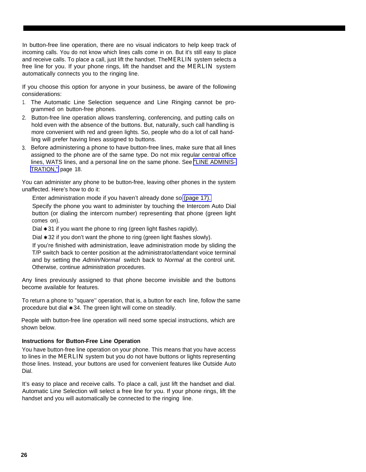<span id="page-26-1"></span>In button-free line operation, there are no visual indicators to help keep track of incoming calls. You do not know which lines calls come in on. But it's still easy to place and receive calls. To place a call, just lift the handset. The MERLIN system selects a free line for you. If your phone rings, lift the handset and the **MERLIN** system automatically connects you to the ringing line.

If you choose this option for anyone in your business, be aware of the following considerations:

- 1. The Automatic Line Selection sequence and Line Ringing cannot be programmed on button-free phones.
- 2. Button-free line operation allows transferring, conferencing, and putting calls on hold even with the absence of the buttons. But, naturally, such call handling is more convenient with red and green lights. So, people who do a lot of call handling will prefer having lines assigned to buttons.
- <span id="page-26-0"></span>3. Before administering a phone to have button-free lines, make sure that all lines assigned to the phone are of the same type. Do not mix regular central office lines, WATS lines, and a personal line on the same phone. See ["LINE ADMINIS-](#page-18-3)[TRATION,"](#page-18-3) page 18.

You can administer any phone to be button-free, leaving other phones in the system unaffected. Here's how to do it:

Enter administration mode if you haven't already done so [\(page 17\).](#page-17-6)

Specify the phone you want to administer by touching the Intercom Auto Dial button (or dialing the intercom number) representing that phone (green light comes on).

Dial  $*$  31 if you want the phone to ring (green light flashes rapidly).

Dial  $*$  32 if you don't want the phone to ring (green light flashes slowly).

If you're finished with administration, leave administration mode by sliding the T/P switch back to center position at the administrator/attendant voice terminal and by setting the Admin/Normal switch back to Normal at the control unit. Otherwise, continue administration procedures.

Any lines previously assigned to that phone become invisible and the buttons become available for features.

To return a phone to "square'' operation, that is, a button for each line, follow the same procedure but dial ✱ 34. The green light will come on steadily.

People with button-free line operation will need some special instructions, which are shown below.

#### **Instructions for Button-Free Line Operation**

You have button-free line operation on your phone. This means that you have access to lines in the MERLIN system but you do not have buttons or lights representing those lines. Instead, your buttons are used for convenient features like Outside Auto Dial.

It's easy to place and receive calls. To place a call, just lift the handset and dial. Automatic Line Selection will select a free line for you. If your phone rings, lift the handset and you will automatically be connected to the ringing line.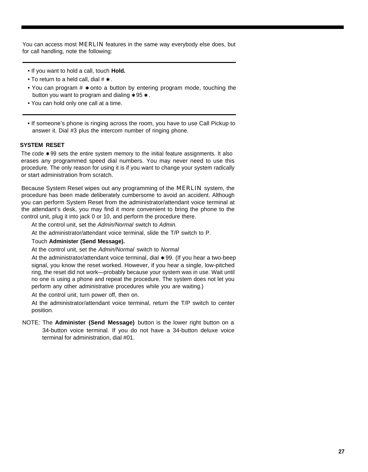<span id="page-27-4"></span><span id="page-27-3"></span><span id="page-27-2"></span><span id="page-27-1"></span>You can access most MERLIN features in the same way everybody else does, but for call handling, note the following:

- If you want to hold a call, touch **Hold.**
- To return to a held call, dial  $# *$ .
- You can program  $# *$  onto a button by entering program mode, touching the button you want to program and dialing  $*95*.$
- You can hold only one call at a time.
- If someone's phone is ringing across the room, you have to use Call Pickup to answer it. Dial #3 plus the intercom number of ringing phone.

#### <span id="page-27-0"></span>**SYSTEM RESET**

The code  $\star$  99 sets the entire system memory to the initial feature assignments. It also erases any programmed speed dial numbers. You may never need to use this procedure. The only reason for using it is if you want to change your system radically or start administration from scratch.

Because System Reset wipes out any programming of the MERLIN system, the procedure has been made deliberately cumbersome to avoid an accident. Although you can perform System Reset from the administrator/attendant voice terminal at the attendant's desk, you may find it more convenient to bring the phone to the control unit, plug it into jack 0 or 10, and perform the procedure there.

At the control unit, set the Admin/Normal switch to Admin.

At the administrator/attendant voice terminal, slide the T/P switch to P.

#### Touch **Administer (Send Message).**

At the control unit, set the Admin/Normal switch to Normal

At the administrator/attendant voice terminal, dial  $*$  99. (If you hear a two-beep signal, you know the reset worked. However, if you hear a single, low-pitched ring, the reset did not work—probably because your system was in use. Wait until no one is using a phone and repeat the procedure. The system does not let you perform any other administrative procedures while you are waiting.)

At the control unit, turn power off, then on.

At the administrator/attendant voice terminal, return the T/P switch to center position.

NOTE: The **Administer (Send Message)** button is the lower right button on a 34-button voice terminal. If you do not have a 34-button deluxe voice terminal for administration, dial #01.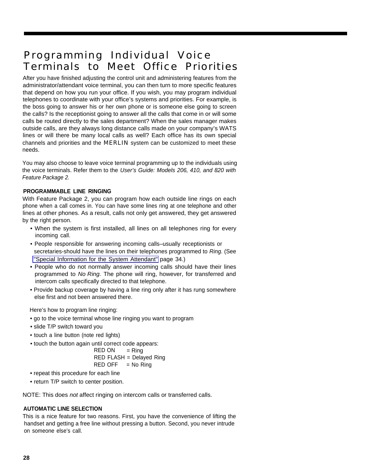### <span id="page-28-2"></span><span id="page-28-0"></span>Programming Individual Voice Terminals to Meet Office Priorities

After you have finished adjusting the control unit and administering features from the administrator/attendant voice terminal, you can then turn to more specific features that depend on how you run your office. If you wish, you may program individual telephones to coordinate with your office's systems and priorities. For example, is the boss going to answer his or her own phone or is someone else going to screen the calls? Is the receptionist going to answer all the calls that come in or will some calls be routed directly to the sales department? When the sales manager makes outside calls, are they always long distance calls made on your company's WATS lines or will there be many local calls as well? Each office has its own special channels and priorities and the MERLIN system can be customized to meet these needs.

<span id="page-28-1"></span>You may also choose to leave voice terminal programming up to the individuals using the voice terminals. Refer them to the User's Guide: Models 206, 410, and 820 with Feature Package 2.

#### **PROGRAMMABLE LINE RINGING**

With Feature Package 2, you can program how each outside line rings on each phone when a call comes in. You can have some lines ring at one telephone and other lines at other phones. As a result, calls not only get answered, they get answered by the right person.

- When the system is first installed, all lines on all telephones ring for every incoming call.
- People responsible for answering incoming calls–usually receptionists or secretaries-should have the lines on their telephones programmed to Ring. (See ["Special Information for the System Attendant"](#page-34-2) page 34.)
- <span id="page-28-3"></span>• People who do not normally answer incoming calls should have their lines programmed to No Ring. The phone will ring, however, for transferred and intercom calls specifically directed to that telephone.
- Provide backup coverage by having a line ring only after it has rung somewhere else first and not been answered there.

Here's how to program line ringing:

- go to the voice terminal whose line ringing you want to program
- slide T/P switch toward you
- touch a line button (note red lights)
- touch the button again until correct code appears:

 $RED ON = Ring$ 

RED FLASH = Delayed Ring

$$
RED \; OFF \quad = No \; Ring
$$

- repeat this procedure for each line
- return T/P switch to center position.

NOTE: This does not affect ringing on intercom calls or transferred calls.

#### **AUTOMATIC LINE SELECTION**

This is a nice feature for two reasons. First, you have the convenience of lifting the handset and getting a free line without pressing a button. Second, you never intrude on someone else's call.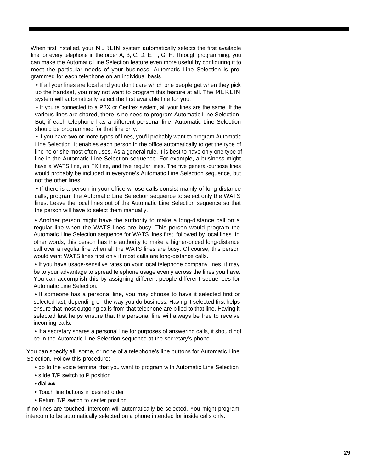When first installed, your **MERLIN** system automatically selects the first available line for every telephone in the order A, B, C, D, E, F, G, H. Through programming, you can make the Automatic Line Selection feature even more useful by configuring it to meet the particular needs of your business. Automatic Line Selection is programmed for each telephone on an individual basis.

<span id="page-29-0"></span>• If all your lines are local and you don't care which one people get when they pick up the handset, you may not want to program this feature at all. The MERLIN system will automatically select the first available line for you.

• If you're connected to a PBX or Centrex system, all your lines are the same. If the various lines are shared, there is no need to program Automatic Line Selection. But, if each telephone has a different personal line, Automatic Line Selection should be programmed for that line only.

• lf you have two or more types of lines, you'll probably want to program Automatic Line Selection. It enables each person in the office automatically to get the type of line he or she most often uses. As a general rule, it is best to have only one type of line in the Automatic Line Selection sequence. For example, a business might have a WATS line, an FX line, and five regular lines. The five general-purpose lines would probably be included in everyone's Automatic Line Selection sequence, but not the other lines.

• If there is a person in your office whose calls consist mainly of long-distance calls, program the Automatic Line Selection sequence to select only the WATS lines. Leave the local lines out of the Automatic Line Selection sequence so that the person will have to select them manually.

• Another person might have the authority to make a long-distance call on a regular line when the WATS lines are busy. This person would program the Automatic Line Selection sequence for WATS lines first, followed by local lines. In other words, this person has the authority to make a higher-priced long-distance call over a regular line when all the WATS lines are busy. Of course, this person would want WATS lines first only if most calls are long-distance calls.

• If you have usage-sensitive rates on your local telephone company lines, it may be to your advantage to spread telephone usage evenly across the lines you have. You can accomplish this by assigning different people different sequences for Automatic Line Selection.

• If someone has a personal line, you may choose to have it selected first or selected last, depending on the way you do business. Having it selected first helps ensure that most outgoing calls from that telephone are billed to that line. Having it selected last helps ensure that the personal line will always be free to receive incoming calls.

• If a secretary shares a personal line for purposes of answering calls, it should not be in the Automatic Line Selection sequence at the secretary's phone.

You can specify all, some, or none of a telephone's line buttons for Automatic Line Selection. Follow this procedure:

- go to the voice terminal that you want to program with Automatic Line Selection
- sIide T/P switch to P position
- dial ✱✱
- Touch line buttons in desired order
- Return T/P switch to center position.

If no lines are touched, intercom will automatically be selected. You might program intercom to be automatically selected on a phone intended for inside calls only.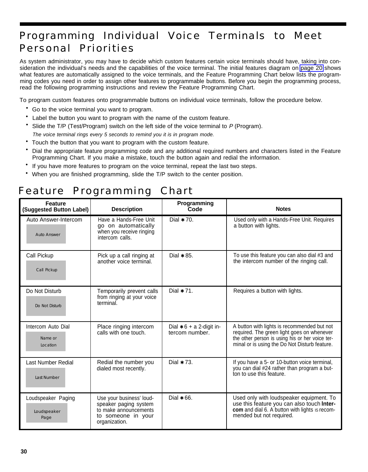### <span id="page-30-2"></span><span id="page-30-0"></span>Programming Individual Voice Terminals to Meet Personal Priorities

As system administrator, you may have to decide which custom features certain voice terminals should have, taking into consideration the individual's needs and the capabilities of the voice terminal. The initial features diagram on [page 20](#page-20-0) shows what features are automatically assigned to the voice terminals, and the Feature Programming Chart below lists the programming codes you need in order to assign other features to programmable buttons. Before you begin the programming process, read the following programming instructions and review the Feature Programming Chart.

To program custom features onto programmable buttons on individual voice terminals, follow the procedure below.

- Go to the voice terminal you want to program.
- Label the button you want to program with the name of the custom feature.
- Slide the T/P (Test/Program) switch on the left side of the voice terminal to P (Program). The voice terminal rings every 5 seconds to remind you it is in program mode.
- Touch the button that you want to program with the custom feature.
- <span id="page-30-1"></span>• Dial the appropriate feature programming code and any additional required numbers and characters listed in the Feature Programming Chart. If you make a mistake, touch the button again and redial the information.
- If you have more features to program on the voice terminal, repeat the last two steps.
- When you are finished programming, slide the T/P switch to the center position.

### Feature Programming Chart

| <b>Feature</b><br>(Suggested Button Label)      | <b>Description</b>                                                                                                | Programming<br>Code                           | <b>Notes</b>                                                                                                                                                                                  |
|-------------------------------------------------|-------------------------------------------------------------------------------------------------------------------|-----------------------------------------------|-----------------------------------------------------------------------------------------------------------------------------------------------------------------------------------------------|
| Auto Answer-Intercom<br><b>Auto Answer</b>      | Have a Hands-Free Unit<br>go on automatically<br>when you receive ringing<br>intercom calls.                      | Dial $*$ 70.                                  | Used only with a Hands-Free Unit. Requires<br>a button with lights.                                                                                                                           |
| Call Pickup<br>Call Pickup                      | Pick up a call ringing at<br>another voice terminal.                                                              | Dial $* 85$ .                                 | To use this feature you can also dial #3 and<br>the intercom number of the ringing call.                                                                                                      |
| Do Not Disturb<br>Do Not Disturb                | Temporarily prevent calls<br>from ringing at your voice<br>terminal.                                              | Dial $* 71$ .                                 | Requires a button with lights.                                                                                                                                                                |
| Intercom Auto Dial<br>Name or<br>Location       | Place ringing intercom<br>calls with one touch.                                                                   | Dial $* 6 + a 2$ -digit in-<br>tercom number. | A button with lights is recommended but not<br>required. The green light goes on whenever<br>the other person is using his or her voice ter-<br>minal or is using the Do Not Disturb feature. |
| <b>Last Number Redial</b><br><b>Last Number</b> | Redial the number you<br>dialed most recently.                                                                    | Dial $* 73$ .                                 | If you have a 5- or 10-button voice terminal,<br>you can dial #24 rather than program a but-<br>ton to use this feature.                                                                      |
| Loudspeaker Paging<br>Loudspeaker<br>Page       | Use your business' loud-<br>speaker paging system<br>to make announcements<br>to someone in your<br>organization. | Dial $*$ 66.                                  | Used only with loudspeaker equipment. To<br>use this feature you can also touch Inter-<br>com and dial 6. A button with lights is recom-<br>mended but not required.                          |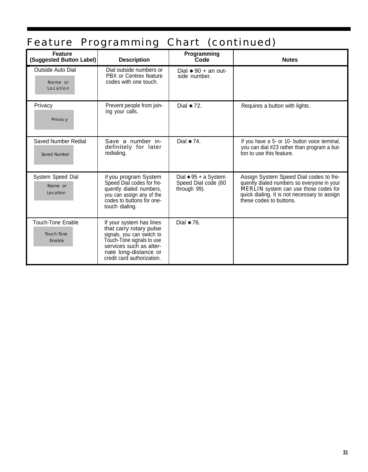## Feature Programming Chart (continued)

| <b>Feature</b><br>(Suggested Button Label)       | <b>Description</b>                                                                                                                                                                               | Programming<br>Code                                           | <b>Notes</b>                                                                                                                                                                                             |
|--------------------------------------------------|--------------------------------------------------------------------------------------------------------------------------------------------------------------------------------------------------|---------------------------------------------------------------|----------------------------------------------------------------------------------------------------------------------------------------------------------------------------------------------------------|
| Outside Auto Dial<br>Name or<br>Location         | Dial outside numbers or<br>PBX or Centrex feature<br>codes with one touch.                                                                                                                       | Dial $* 90 +$ an out-<br>side number.                         |                                                                                                                                                                                                          |
| Privacy<br>Privacy                               | Prevent people from join-<br>ing your calls.                                                                                                                                                     | Dial $* 72$ .                                                 | Requires a button with lights.                                                                                                                                                                           |
| Saved Number Redial<br><b>Saved Number</b>       | Save a number in-<br>definitely for later<br>redialing.                                                                                                                                          | Dial $* 74$ .                                                 | If you have a 5- or 10- button voice terminal,<br>you can dial #23 rather than program a but-<br>ton to use this feature.                                                                                |
| System Speed Dial<br>Name or<br>Location         | If you program System<br>Speed Dial codes for fre-<br>quently dialed numbers,<br>you can assign any of the<br>codes to buttons for one-<br>touch dialing.                                        | Dial $* 95 + a$ System<br>Speed Dial code (60<br>through 99). | Assign System Speed Dial codes to fre-<br>quently dialed numbers so everyone in your<br>MERLIN system can use those codes for<br>quick dialing. It is not necessary to assign<br>these codes to buttons. |
| <b>Touch-Tone Enable</b><br>Touch-Tone<br>Enable | If your system has lines<br>that carry rotary pulse<br>signals, you can switch to<br>Touch-Tone signals to use<br>services such as alter-<br>nate long-distance or<br>credit card authorization. | Dial $* 76$ .                                                 |                                                                                                                                                                                                          |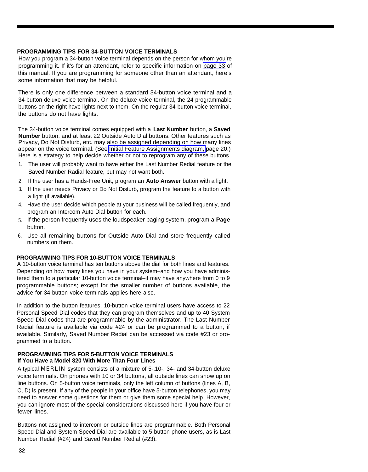#### <span id="page-32-3"></span><span id="page-32-2"></span><span id="page-32-0"></span>**PROGRAMMING TIPS FOR 34-BUTTON VOICE TERMINALS**

How you program a 34-button voice terminal depends on the person for whom you're programming it. If it's for an attendant, refer to specific information on [page 33](#page-33-1) of this manual. If you are programming for someone other than an attendant, here's some information that may be helpful.

There is only one difference between a standard 34-button voice terminal and a 34-button deluxe voice terminal. On the deluxe voice terminal, the 24 programmable buttons on the right have lights next to them. On the regular 34-button voice terminal, the buttons do not have lights.

The 34-button voice terminal comes equipped with a **Last Number** button, a **Saved Number** button, and at least 22 Outside Auto Dial buttons. Other features such as Privacy, Do Not Disturb, etc. may also be assigned depending on how many lines appear on the voice terminal. (See [Initial Feature Assignments diagram,](#page-20-1) page 20.) Here is a strategy to help decide whether or not to reprogram any of these buttons.

- <span id="page-32-1"></span>1. The user will probably want to have either the Last Number Redial feature or the Saved Number Radial feature, but may not want both.
- 2. If the user has a Hands-Free Unit, program an **Auto Answer** button with a light.
- 3. If the user needs Privacy or Do Not Disturb, program the feature to a button with a light (if available).
- 4. Have the user decide which people at your business will be called frequently, and program an Intercom Auto Dial button for each.
- 5. If the person frequently uses the loudspeaker paging system, program a **Page** button.
- 6. Use all remaining buttons for Outside Auto Dial and store frequently called numbers on them.

#### **PROGRAMMING TIPS FOR 10-BUTTON VOICE TERMINALS**

A 10-button voice terminal has ten buttons above the dial for both lines and features. Depending on how many lines you have in your system–and how you have administered them to a particular 10-button voice terminal–it may have anywhere from 0 to 9 programmable buttons; except for the smaller number of buttons available, the advice for 34-button voice terminals applies here also.

In addition to the button features, 10-button voice terminal users have access to 22 Personal Speed Dial codes that they can program themselves and up to 40 System Speed Dial codes that are programmable by the administrator. The Last Number Radial feature is available via code #24 or can be programmed to a button, if available. Similarly, Saved Number Redial can be accessed via code #23 or programmed to a button.

#### **PROGRAMMING TIPS FOR 5-BUTTON VOICE TERMINALS If You Have a Model 820 With More Than Four Lines**

A typical MERLIN system consists of a mixture of 5-,10-, 34- and 34-button deluxe voice terminals. On phones with 10 or 34 buttons, all outside lines can show up on line buttons. On 5-button voice terminals, only the left column of buttons (lines A, B, C, D) is present. If any of the people in your office have 5-button telephones, you may need to answer some questions for them or give them some special help. However, you can ignore most of the special considerations discussed here if you have four or fewer lines.

Buttons not assigned to intercom or outside lines are programmable. Both Personal Speed Dial and System Speed Dial are available to 5-button phone users, as is Last Number Redial (#24) and Saved Number Redial (#23).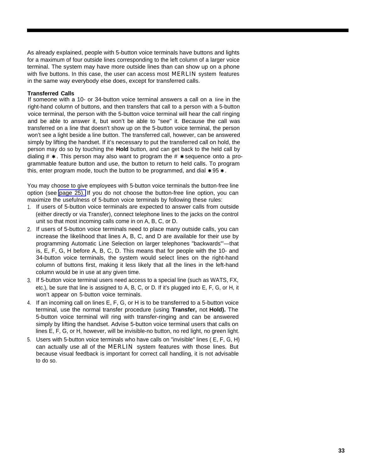<span id="page-33-2"></span><span id="page-33-1"></span>As already explained, people with 5-button voice terminals have buttons and lights for a maximum of four outside lines corresponding to the left column of a larger voice terminal. The system may have more outside lines than can show up on a phone with five buttons. In this case, the user can access most **MERLIN** system features in the same way everybody else does, except for transferred calls.

#### <span id="page-33-0"></span>**Transferred Calls**

If someone with a 10- or 34-button voice terminal answers a call on a Iine in the right-hand column of buttons, and then transfers that call to a person with a 5-button voice terminal, the person with the 5-button voice terminal will hear the call ringing and be able to answer it, but won't be able to "see" it. Because the call was transferred on a line that doesn't show up on the 5-button voice terminal, the person won't see a light beside a line button. The transferred call, however, can be answered simply by lifting the handset. If it's necessary to put the transferred call on hold, the person may do so by touching the **Hold** button, and can get back to the held call by dialing  $\#$   $\star$  . This person may also want to program the  $\#$   $\star$  sequence onto a programmable feature button and use, the button to return to held calls. To program this, enter program mode, touch the button to be programmed, and dial  $*95*.$ 

You may choose to give employees with 5-button voice terminals the button-free line option (see [page 25\).](#page-25-3) If you do not choose the button-free line option, you can maximize the usefulness of 5-button voice terminals by following these rules:

- 1. If users of 5-button voice terminals are expected to answer calls from outside (either directly or via Transfer), connect telephone lines to the jacks on the control unit so that most incoming calls come in on A, B, C, or D.
- 2. If users of 5-button voice terminals need to place many outside calls, you can increase the likelihood that lines A, B, C, and D are available for their use by programming Automatic Line Selection on larger telephones "backwards"'—that is, E, F, G, H before A, B, C, D. This means that for people with the 10- and 34-button voice terminals, the system would select lines on the right-hand column of buttons first, making it less likely that all the lines in the left-hand column would be in use at any given time.
- 3. If 5-button voice terminal users need access to a special line (such as WATS, FX, etc.), be sure that line is assigned to A, B, C, or D. If it's plugged into E, F, G, or H, it won't appear on 5-button voice terminals.
- 4. If an incoming call on lines E, F, G, or H is to be transferred to a 5-button voice terminal, use the normal transfer procedure (using **Transfer,** not **Hold).** The 5-button voice terminal will ring with transfer-ringing and can be answered simply by lifting the handset. Advise 5-button voice terminal users that calls on lines E, F, G, or H, however, will be invisible-no button, no red light, no green light.
- 5. Users with 5-button voice terminals who have calls on "invisible" lines ( E, F, G, H) can actually use all of the MERLIN system features with those lines. But because visual feedback is important for correct call handling, it is not advisable to do so.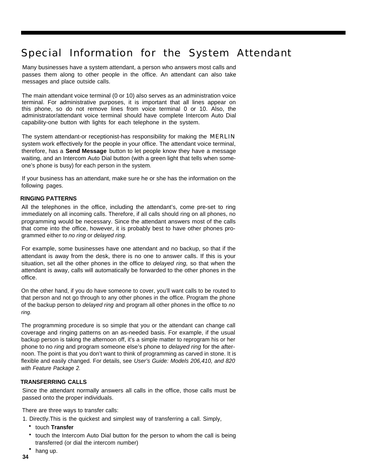### <span id="page-34-4"></span><span id="page-34-3"></span><span id="page-34-2"></span><span id="page-34-0"></span>Special Information for the System Attendant

Many businesses have a system attendant, a person who answers most calls and passes them along to other people in the office. An attendant can also take messages and place outside calls.

The main attendant voice terminal (0 or 10) also serves as an administration voice terminal. For administrative purposes, it is important that all lines appear on this phone, so do not remove lines from voice terminal 0 or 10. Also, the administrator/attendant voice terminal should have complete Intercom Auto Dial capability-one button with lights for each telephone in the system.

<span id="page-34-1"></span>The system attendant-or receptionist-has responsibility for making the **MERLIN** system work effectively for the people in your office. The attendant voice terminal, therefore, has a **Send Message** button to let people know they have a message waiting, and an Intercom Auto Dial button (with a green light that tells when someone's phone is busy) for each person in the system.

If your business has an attendant, make sure he or she has the information on the following pages.

#### **RINGING PATTERNS**

All the telephones in the office, including the attendant's, come pre-set to ring immediately on all incoming calls. Therefore, if all calls should ring on all phones, no programming would be necessary. Since the attendant answers most of the calls that come into the office, however, it is probably best to have other phones programmed either to no ring or delayed ring.

For example, some businesses have one attendant and no backup, so that if the attendant is away from the desk, there is no one to answer calls. If this is your situation, set all the other phones in the office to *delayed ring*, so that when the attendant is away, calls will automatically be forwarded to the other phones in the office.

On the other hand, if you do have someone to cover, you'll want calls to be routed to that person and not go through to any other phones in the office. Program the phone of the backup person to *delayed ring* and program all other phones in the office to no ring.

The programming procedure is so simple that you or the attendant can change call coverage and ringing patterns on an as-needed basis. For example, if the usual backup person is taking the afternoon off, it's a simple matter to reprogram his or her phone to no ring and program someone else's phone to delayed ring for the afternoon. The point is that you don't want to think of programming as carved in stone. It is flexible and easily changed. For details, see User's Guide: Models 206,410, and 820 with Feature Package 2.

#### **TRANSFERRING CALLS**

Since the attendant normally answers all calls in the office, those calls must be passed onto the proper individuals.

There are three ways to transfer calls:

1. Directly.This is the quickest and simplest way of transferring a call. Simply,

- touch **Transfer**
- touch the Intercom Auto Dial button for the person to whom the call is being transferred (or dial the intercom number)
- hang up.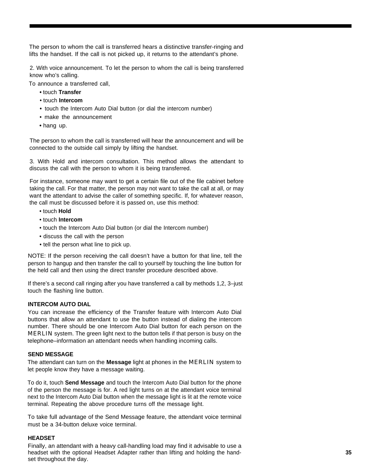<span id="page-35-2"></span><span id="page-35-1"></span>The person to whom the call is transferred hears a distinctive transfer-ringing and lifts the handset. If the call is not picked up, it returns to the attendant's phone.

2. With voice announcement. To let the person to whom the call is being transferred know who's calling.

To announce a transferred call,

- touch **Transfer**
- touch **Intercom**
- touch the Intercom Auto Dial button (or dial the intercom number)
- make the announcement
- hang up.

The person to whom the call is transferred will hear the announcement and will be connected to the outside call simply by lifting the handset.

<span id="page-35-0"></span>3. With Hold and intercom consultation. This method allows the attendant to discuss the call with the person to whom it is being transferred.

For instance, someone may want to get a certain file out of the file cabinet before taking the call. For that matter, the person may not want to take the call at all, or may want the attendant to advise the caller of something specific. If, for whatever reason, the call must be discussed before it is passed on, use this method:

- touch **Hold**
- touch **Intercom**
- touch the Intercom Auto Dial button (or dial the Intercom number)
- discuss the call with the person
- tell the person what line to pick up.

NOTE: If the person receiving the call doesn't have a button for that line, tell the person to hangup and then transfer the call to yourself by touching the line button for the held call and then using the direct transfer procedure described above.

If there's a second call ringing after you have transferred a call by methods 1,2, 3–just touch the flashing line button.

#### **INTERCOM AUTO DIAL**

You can increase the efficiency of the Transfer feature with Intercom Auto Dial buttons that allow an attendant to use the button instead of dialing the intercom number. There should be one Intercom Auto Dial button for each person on the MERLIN system. The green light next to the button tells if that person is busy on the telephone–information an attendant needs when handling incoming calls.

#### **SEND MESSAGE**

The attendant can turn on the **Message** light at phones in the MERLIN system to let people know they have a message waiting.

To do it, touch **Send Message** and touch the Intercom Auto Dial button for the phone of the person the message is for. A red light turns on at the attendant voice terminal next to the Intercom Auto Dial button when the message light is lit at the remote voice terminal. Repeating the above procedure turns off the message light.

To take full advantage of the Send Message feature, the attendant voice terminal must be a 34-button deluxe voice terminal.

#### **HEADSET**

Finally, an attendant with a heavy call-handling load may find it advisable to use a headset with the optional Headset Adapter rather than lifting and holding the handset throughout the day.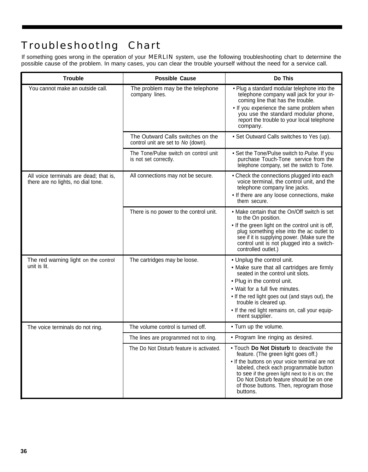### <span id="page-36-2"></span><span id="page-36-1"></span><span id="page-36-0"></span>Troubleshootlng Chart

If something goes wrong in the operation of your MERLIN system, use the following troubleshooting chart to determine the possible cause of the problem. In many cases, you can clear the trouble yourself without the need for a service call.

| <b>Trouble</b>                                                               | <b>Possible Cause</b>                                                   | Do This                                                                                                                                                                                                                                                                                                                             |
|------------------------------------------------------------------------------|-------------------------------------------------------------------------|-------------------------------------------------------------------------------------------------------------------------------------------------------------------------------------------------------------------------------------------------------------------------------------------------------------------------------------|
| You cannot make an outside call.                                             | The problem may be the telephone<br>company lines.                      | . Plug a standard modular telephone into the<br>telephone company wall jack for your in-<br>coming line that has the trouble.<br>• If you experience the same problem when<br>you use the standard modular phone,<br>report the trouble to your local telephone<br>company.                                                         |
|                                                                              | The Outward Calls switches on the<br>control unit are set to No (down). | • Set Outward Calls switches to Yes (up).                                                                                                                                                                                                                                                                                           |
|                                                                              | The Tone/Pulse switch on control unit<br>is not set correctly.          | • Set the Tone/Pulse switch to Pulse. If you<br>purchase Touch-Tone service from the<br>telephone company, set the switch to Tone.                                                                                                                                                                                                  |
| All voice terminals are dead; that is,<br>there are no lights, no dial tone. | All connections may not be secure.                                      | • Check the connections plugged into each<br>voice terminal, the control unit, and the<br>telephone company line jacks.<br>• If there are any loose connections, make<br>them secure.                                                                                                                                               |
|                                                                              | There is no power to the control unit.                                  | • Make certain that the On/Off switch is set<br>to the On position.<br>• If the green light on the control unit is off,<br>plug something else into the ac outlet to<br>see if it is supplying power. (Make sure the<br>control unit is not plugged into a switch-<br>controlled outlet.)                                           |
| The red warning light on the control<br>unit is lit.                         | The cartridges may be loose.                                            | • Unplug the control unit.<br>• Make sure that all cartridges are firmly<br>seated in the control unit slots.<br>• Plug in the control unit.<br>• Wait for a full five minutes.<br>• If the red light goes out (and stays out), the<br>trouble is cleared up.<br>• If the red light remains on, call your equip-<br>ment supplier.  |
| The voice terminals do not ring.                                             | The volume control is turned off.                                       | • Turn up the volume.                                                                                                                                                                                                                                                                                                               |
|                                                                              | The lines are programmed not to ring.                                   | · Program line ringing as desired.                                                                                                                                                                                                                                                                                                  |
|                                                                              | The Do Not Disturb feature is activated.                                | • Touch Do Not Disturb to deactivate the<br>feature. (The green light goes off.)<br>• If the buttons on your voice terminal are not<br>labeled, check each programmable button<br>to see if the green light next to it is on; the<br>Do Not Disturb feature should be on one<br>of those buttons. Then, reprogram those<br>buttons. |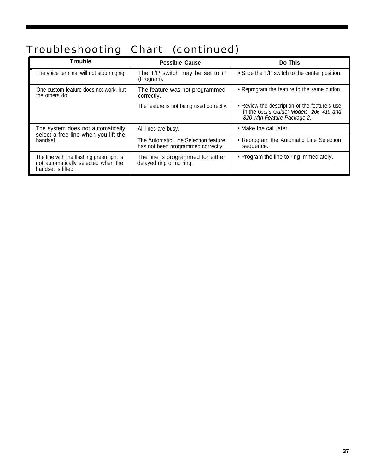## <span id="page-37-0"></span>Troubleshooting Chart (continued)

| <b>Trouble</b>                                                                                         | <b>Possible Cause</b>                                                      | Do This                                                                                                                  |
|--------------------------------------------------------------------------------------------------------|----------------------------------------------------------------------------|--------------------------------------------------------------------------------------------------------------------------|
| The voice terminal will not stop ringing.                                                              | The T/P switch may be set to $P$<br>(Program).                             | • Slide the T/P switch to the center position.                                                                           |
| One custom feature does not work, but<br>the others do.                                                | The feature was not programmed<br>correctly.                               | • Reprogram the feature to the same button.                                                                              |
|                                                                                                        | The feature is not being used correctly.                                   | • Review the description of the feature's use<br>in the User's Guide: Models 206, 410 and<br>820 with Feature Package 2. |
| The system does not automatically<br>select a free line when you lift the<br>handset.                  | All lines are busy.                                                        | • Make the call later.                                                                                                   |
|                                                                                                        | The Automatic Line Selection feature<br>has not been programmed correctly. | • Reprogram the Automatic Line Selection<br>sequence.                                                                    |
| The line with the flashing green light is<br>not automatically selected when the<br>handset is lifted. | The line is programmed for either<br>delayed ring or no ring.              | • Program the line to ring immediately.                                                                                  |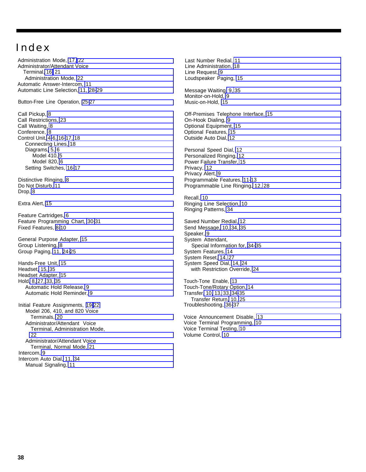### <span id="page-38-0"></span>Index

Administration Mode, [17,](#page-17-4) [22](#page-22-1) Administrator/Attendant Voice Terminal, [16,](#page-16-5) [21](#page-21-0) Administration Mode, [22](#page-22-1) Automatic Answer-Intercom, [11](#page-11-1) Automatic Line Selection, [11,](#page-11-1) [28-](#page-28-3)[29](#page-29-0) Button-Free Line Operation, [25-](#page-25-5)[27](#page-27-3) Call Pickup, [8](#page-8-1) Call Restrictions, [23](#page-23-4) Call Waiting, [8](#page-8-1) Conference, [8](#page-8-1) Control Unit, [4](#page-4-1)[-6,](#page-6-3) [16-](#page-16-4)[17,](#page-17-7) [18](#page-18-4) Connecting Lines, [18](#page-18-4) Diagrams[, 5,](#page-5-0) [6](#page-6-2) Model 410, [5](#page-5-0) Model 820, [6](#page-6-2) Setting Switches, [16-](#page-16-4)[17](#page-17-7) Distinctive Ringing, [8](#page-8-1) Do Not Disturb, [11](#page-11-1) Drop, [8](#page-8-1) Extra Alert, [15](#page-15-3) Feature Cartridges, [6](#page-6-2) Feature Programming Chart, [30-](#page-30-2)[31](#page-32-3) Fixed Features, [8-](#page-8-2)[10](#page-10-2) General Purpose Adapter, [15](#page-15-3) Group Listening, [8](#page-8-1) Group Paging, [11,](#page-11-1) [24-](#page-24-5)[25](#page-25-5) Hands-Free Unit, [15](#page-15-3) Headset, [15,](#page-15-3) [35](#page-35-1) Headset Adapter, [15](#page-15-3) Hold[, 8,](#page-8-1) [27,](#page-27-2) [33,](#page-33-2) [35](#page-35-1) Automatic Hold Release, [9](#page-9-0) Automatic Hold Reminder, [9](#page-9-0) Initial Feature Assignments, [19-](#page-19-1)[22](#page-22-2) Model 206, 410, and 820 Voice Terminals, [20](#page-20-2) Administrator/Attendant Voice Terminal, Administration Mode, [22](#page-22-1) Administrator/Attendant Voice Terminal, Normal Mode, [21](#page-21-0) Intercom, [9](#page-9-0) Intercom Auto Dial, [11,](#page-11-1) [34](#page-34-3) Manual Signaling, [11](#page-11-1)

Last Number Redial, [11](#page-11-1) Line Administration, [18](#page-18-4) Line Request, [9](#page-9-0) Loudspeaker Paging, [15](#page-15-3)

Message Waiting[, 9,](#page-9-0) [35](#page-35-1) Monitor-on-Hold, [9](#page-9-0) Music-on-Hold, [15](#page-15-3)

Off-Premises Telephone Interface, [15](#page-15-3) On-Hook Dialing, [9](#page-9-0) Optional Equipment, [15](#page-15-3) Optional Features, [15](#page-15-3) Outside Auto Dial, [12](#page-12-0)

Personal Speed Dial, [12](#page-12-0) Personalized Ringing, [12](#page-12-0) Power Failure Transfer, [15](#page-15-3) Privacy, [12](#page-12-0) Privacy Alert, [9](#page-9-0) Programmable Features, [11-](#page-11-2)[13](#page-13-2) Programmable Line Ringing, [12,](#page-12-0) [28](#page-28-2)

Recall, [10](#page-10-1) Ringing Line Selection, [10](#page-10-1) Ringing Patterns, [34](#page-34-3)

Saved Number Redial, [12](#page-12-0) Send Message, [10,](#page-10-1) [34,](#page-34-3) [35](#page-35-1) Speaker, [9](#page-9-0) System Attendant, Special Information for, [34-](#page-34-4)[35](#page-35-2) System Features, [14](#page-14-1) System Reset, [14,](#page-14-1) [27](#page-27-2) System Speed Dial, [14,](#page-14-1) [24](#page-24-4) with Restriction Override, [24](#page-24-4)

Touch-Tone Enable, [13](#page-13-1) Touch-Tone/Rotary Option, [14](#page-14-1) Transfer[, 10,](#page-10-1) [13,](#page-13-1) [33,](#page-33-2) [34](#page-34-4)[-35](#page-35-2) Transfer Return, [10,](#page-10-1) [25](#page-25-4) Troubleshooting, [36-](#page-36-2)[37](#page-37-0)

Voice Announcement Disable, [13](#page-13-1) Voice Terminal Programming, [10](#page-10-1) Voice Terminal Testing, [10](#page-10-1) Volume Control, [10](#page-10-1)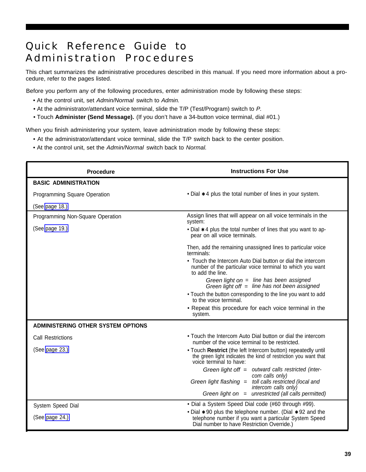### <span id="page-39-0"></span>Quick Reference Guide to Administration Procedures

This chart summarizes the administrative procedures described in this manual. If you need more information about a procedure, refer to the pages listed.

Before you perform any of the following procedures, enter administration mode by following these steps:

- At the control unit, set Admin/Normal switch to Admin.
- At the administrator/attendant voice terminal, slide the T/P (Test/Program) switch to P.
- Touch **Administer (Send Message).** (If you don't have a 34-button voice terminal, dial #01.)

When you finish administering your system, leave administration mode by following these steps:

- At the administrator/attendant voice terminal, slide the T/P switch back to the center position.
- At the control unit, set the Admin/Normal switch back to Normal.

| <b>Procedure</b>                          | <b>Instructions For Use</b>                                                                                                                                           |
|-------------------------------------------|-----------------------------------------------------------------------------------------------------------------------------------------------------------------------|
| <b>BASIC ADMINISTRATION</b>               |                                                                                                                                                                       |
| Programming Square Operation              | $\bullet$ Dial $*$ 4 plus the total number of lines in your system.                                                                                                   |
| (See page 18.)                            |                                                                                                                                                                       |
| Programming Non-Square Operation          | Assign lines that will appear on all voice terminals in the<br>system:                                                                                                |
| (See page 19.)                            | • Dial $*$ 4 plus the total number of lines that you want to ap-<br>pear on all voice terminals.                                                                      |
|                                           | Then, add the remaining unassigned lines to particular voice<br>terminals:                                                                                            |
|                                           | • Touch the Intercom Auto Dial button or dial the intercom<br>number of the particular voice terminal to which you want<br>to add the line.                           |
|                                           | Green light on $=$ line has been assigned<br>Green light off $=$ line has not been assigned                                                                           |
|                                           | . Touch the button corresponding to the line you want to add<br>to the voice terminal.                                                                                |
|                                           | • Repeat this procedure for each voice terminal in the<br>system.                                                                                                     |
| <b>ADMINISTERING OTHER SYSTEM OPTIONS</b> |                                                                                                                                                                       |
| <b>Call Restrictions</b>                  | • Touch the Intercom Auto Dial button or dial the intercom<br>number of the voice terminal to be restricted.                                                          |
| (See page 23.)                            | . Touch Restrict (the left Intercom button) repeatedly until<br>the green light indicates the kind of restriction you want that<br>voice terminal to have:            |
|                                           | Green light off $=$ outward calls restricted (inter-<br>com calls only)                                                                                               |
|                                           | Green light flashing = toll calls restricted (local and<br>intercom calls only)                                                                                       |
|                                           | Green light on $=$ unrestricted (all calls permitted)                                                                                                                 |
| System Speed Dial                         | • Dial a System Speed Dial code (#60 through #99).                                                                                                                    |
| (See page 24.)                            | • Dial $*$ 90 plus the telephone number. (Dial $*$ 92 and the<br>telephone number if you want a particular System Speed<br>Dial number to have Restriction Override.) |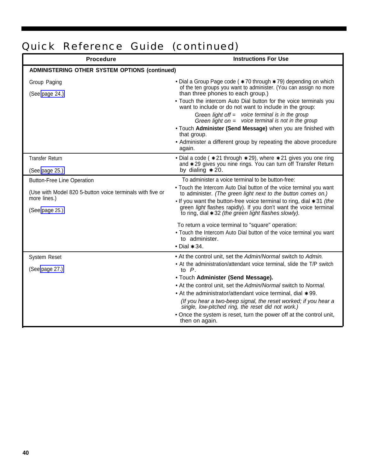## Quick Reference Guide (continued)

| <b>Procedure</b>                                                          | <b>Instructions For Use</b>                                                                                                                                                                           |  |
|---------------------------------------------------------------------------|-------------------------------------------------------------------------------------------------------------------------------------------------------------------------------------------------------|--|
| <b>ADMINISTERING OTHER SYSTEM OPTIONS (continued)</b>                     |                                                                                                                                                                                                       |  |
| Group Paging                                                              | • Dial a Group Page code ( $*$ 70 through $*$ 79) depending on which<br>of the ten groups you want to administer. (You can assign no more                                                             |  |
| (See page 24.)                                                            | than three phones to each group.)                                                                                                                                                                     |  |
|                                                                           | • Touch the intercom Auto Dial button for the voice terminals you<br>want to include or do not want to include in the group:                                                                          |  |
|                                                                           | Green light off = voice terminal is in the group<br>Green light on $=$ voice terminal is not in the group                                                                                             |  |
|                                                                           | . Touch Administer (Send Message) when you are finished with<br>that group.                                                                                                                           |  |
|                                                                           | • Administer a different group by repeating the above procedure<br>again.                                                                                                                             |  |
| <b>Transfer Return</b>                                                    | • Dial a code ( $*21$ through $*29$ ), where $*21$ gives you one ring<br>and * 29 gives you nine rings. You can turn off Transfer Return                                                              |  |
| (See page 25.)                                                            | by dialing $*20$ .                                                                                                                                                                                    |  |
| <b>Button-Free Line Operation</b>                                         | To administer a voice terminal to be button-free:                                                                                                                                                     |  |
| (Use with Model 820 5-button voice terminals with five or<br>more lines.) | . Touch the Intercom Auto Dial button of the voice terminal you want<br>to administer. (The green light next to the button comes on.)                                                                 |  |
| (See page 25.)                                                            | • If you want the button-free voice terminal to ring, dial $*31$ (the<br>green light flashes rapidly). If you don't want the voice terminal<br>to ring, dial $*$ 32 (the green light flashes slowly). |  |
|                                                                           | To return a voice terminal to "square" operation:                                                                                                                                                     |  |
|                                                                           | • Touch the Intercom Auto Dial button of the voice terminal you want<br>to administer.                                                                                                                |  |
|                                                                           | $\bullet$ Dial $\star$ 34.                                                                                                                                                                            |  |
| <b>System Reset</b>                                                       | • At the control unit, set the Admin/Normal switch to Admin.                                                                                                                                          |  |
| (See page 27.)                                                            | • At the administration/attendant voice terminal, slide the T/P switch<br>to $P$ .                                                                                                                    |  |
|                                                                           | • Touch Administer (Send Message).                                                                                                                                                                    |  |
|                                                                           | • At the control unit, set the Admin/Normal switch to Normal.                                                                                                                                         |  |
|                                                                           | • At the administrator/attendant voice terminal, dial $*$ 99.                                                                                                                                         |  |
|                                                                           | (If you hear a two-beep signal, the reset worked; if you hear a single, low-pitched ring, the reset did not work.)                                                                                    |  |
|                                                                           | • Once the system is reset, turn the power off at the control unit,<br>then on again.                                                                                                                 |  |